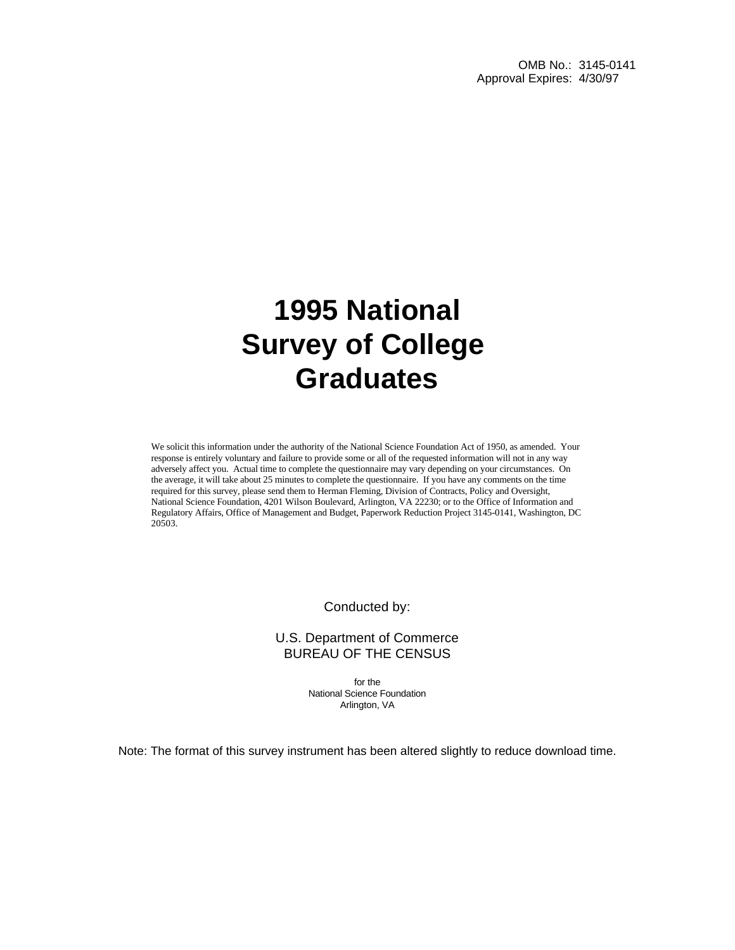OMB No.: 3145-0141 Approval Expires: 4/30/97

# **1995 National Survey of College Graduates**

We solicit this information under the authority of the National Science Foundation Act of 1950, as amended. Your response is entirely voluntary and failure to provide some or all of the requested information will not in any way adversely affect you. Actual time to complete the questionnaire may vary depending on your circumstances. On the average, it will take about 25 minutes to complete the questionnaire. If you have any comments on the time required for this survey, please send them to Herman Fleming, Division of Contracts, Policy and Oversight, National Science Foundation, 4201 Wilson Boulevard, Arlington, VA 22230; or to the Office of Information and Regulatory Affairs, Office of Management and Budget, Paperwork Reduction Project 3145-0141, Washington, DC 20503.

Conducted by:

U.S. Department of Commerce BUREAU OF THE CENSUS

> for the National Science Foundation Arlington, VA

Note: The format of this survey instrument has been altered slightly to reduce download time.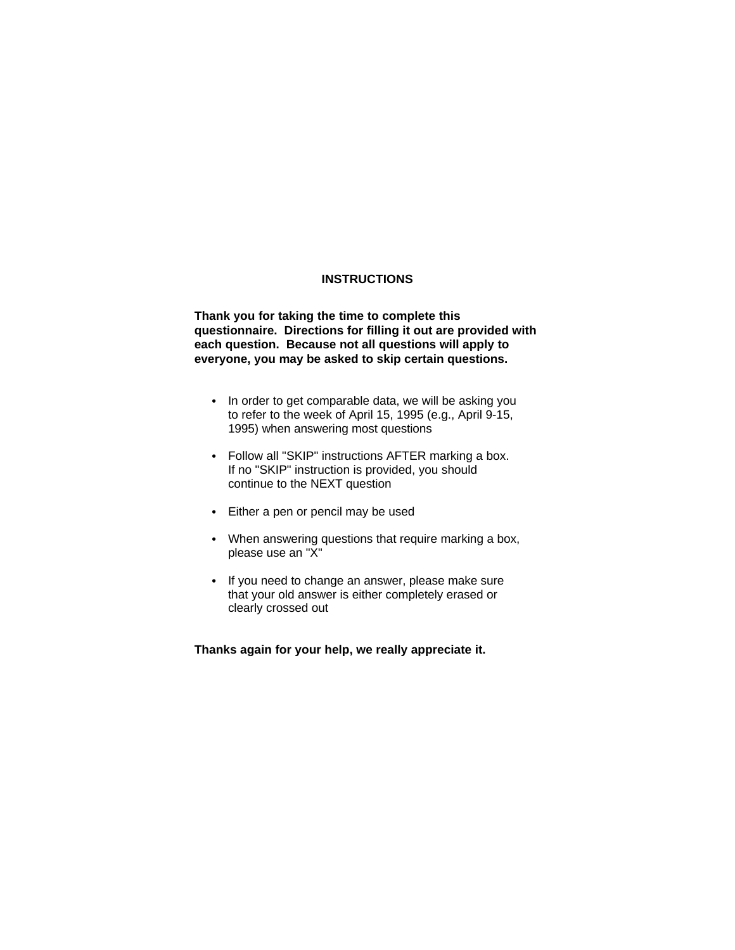#### **INSTRUCTIONS**

**Thank you for taking the time to complete this questionnaire. Directions for filling it out are provided with each question. Because not all questions will apply to everyone, you may be asked to skip certain questions.**

- In order to get comparable data, we will be asking you to refer to the week of April 15, 1995 (e.g., April 9-15, 1995) when answering most questions
- Follow all "SKIP" instructions AFTER marking a box. If no "SKIP" instruction is provided, you should continue to the NEXT question
- Either a pen or pencil may be used
- When answering questions that require marking a box, please use an "X"
- If you need to change an answer, please make sure that your old answer is either completely erased or clearly crossed out

**Thanks again for your help, we really appreciate it.**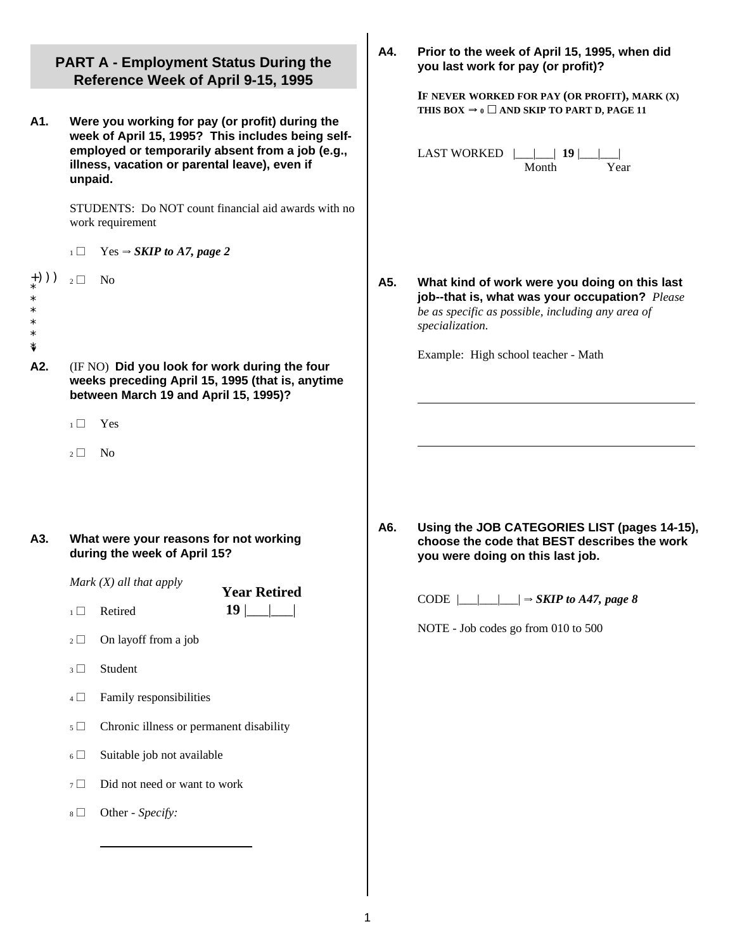|          | <b>PART A - Employment Status During the</b><br>Reference Week of April 9-15, 1995                                                                                                                                   | A4. | Prior to the week of April 15, 1995, when did<br>you last work for pay (or profit)?<br>IF NEVER WORKED FOR PAY (OR PROFIT), MARK (X)                                    |
|----------|----------------------------------------------------------------------------------------------------------------------------------------------------------------------------------------------------------------------|-----|-------------------------------------------------------------------------------------------------------------------------------------------------------------------------|
| A1.      | Were you working for pay (or profit) during the<br>week of April 15, 1995? This includes being self-<br>employed or temporarily absent from a job (e.g.,<br>illness, vacation or parental leave), even if<br>unpaid. |     | THIS BOX $\Rightarrow$ 0 $\Box$ AND SKIP TO PART D, PAGE 11<br><b>LAST WORKED</b><br>19<br>Month<br>Year                                                                |
|          | STUDENTS: Do NOT count financial aid awards with no<br>work requirement                                                                                                                                              |     |                                                                                                                                                                         |
|          | $Yes \rightarrow SKIP$ to A7, page 2<br>$\overline{1}$                                                                                                                                                               |     |                                                                                                                                                                         |
| $+))$ )  | $2\Box$<br><b>No</b>                                                                                                                                                                                                 | A5. | What kind of work were you doing on this last<br>job--that is, what was your occupation? Please<br>be as specific as possible, including any area of<br>specialization. |
| ŧ<br>A2. | (IF NO) Did you look for work during the four<br>weeks preceding April 15, 1995 (that is, anytime<br>between March 19 and April 15, 1995)?                                                                           |     | Example: High school teacher - Math                                                                                                                                     |
|          | $1\Box$<br>Yes                                                                                                                                                                                                       |     |                                                                                                                                                                         |
|          | $2\Box$<br>N <sub>o</sub>                                                                                                                                                                                            |     |                                                                                                                                                                         |
| A3.      | What were your reasons for not working<br>during the week of April 15?                                                                                                                                               | A6. | Using the JOB CATEGORIES LIST (pages 14-15),<br>choose the code that BEST describes the work<br>you were doing on this last job.                                        |
|          | Mark $(X)$ all that apply<br><b>Year Retired</b>                                                                                                                                                                     |     | CODE<br>$\Rightarrow$ SKIP to A47, page 8                                                                                                                               |
|          | 19 <sub>1</sub><br>Retired<br>$1\Box$                                                                                                                                                                                |     | NOTE - Job codes go from 010 to 500                                                                                                                                     |
|          | On layoff from a job<br>$2\Box$                                                                                                                                                                                      |     |                                                                                                                                                                         |
|          | Student<br>$3\Box$                                                                                                                                                                                                   |     |                                                                                                                                                                         |
|          | Family responsibilities<br>$4\Box$                                                                                                                                                                                   |     |                                                                                                                                                                         |
|          | Chronic illness or permanent disability<br>$\sqrt{5}$ $\Box$                                                                                                                                                         |     |                                                                                                                                                                         |
|          | Suitable job not available<br>$6\Box$                                                                                                                                                                                |     |                                                                                                                                                                         |
|          | Did not need or want to work<br>$7\Box$                                                                                                                                                                              |     |                                                                                                                                                                         |
|          | Other - Specify:<br>$8\Box$                                                                                                                                                                                          |     |                                                                                                                                                                         |
|          |                                                                                                                                                                                                                      |     |                                                                                                                                                                         |
|          |                                                                                                                                                                                                                      |     |                                                                                                                                                                         |
|          |                                                                                                                                                                                                                      |     |                                                                                                                                                                         |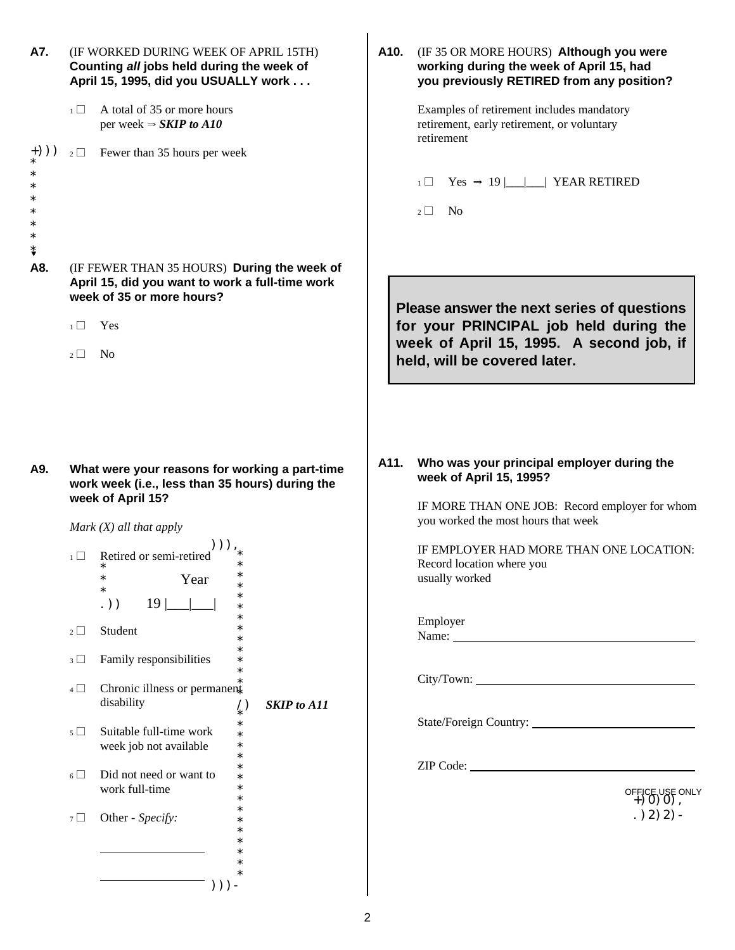|        |                           | (IF WORKED DURING WEEK OF APRIL 15TH)<br>Counting all jobs held during the week of<br>April 15, 1995, did you USUALLY work                           | A10.               | (IF 35 OR MORE HOURS) Although you were<br>working during the week of April 15, had<br>you previously RETIRED from any position?                                 |
|--------|---------------------------|------------------------------------------------------------------------------------------------------------------------------------------------------|--------------------|------------------------------------------------------------------------------------------------------------------------------------------------------------------|
|        | $\overline{1}$            | A total of 35 or more hours<br>per week $\Rightarrow$ SKIP to A10                                                                                    |                    | Examples of retirement includes mandatory<br>retirement, early retirement, or voluntary<br>retirement                                                            |
| $+)$ ) |                           | $2 \Box$ Fewer than 35 hours per week                                                                                                                |                    |                                                                                                                                                                  |
|        |                           |                                                                                                                                                      |                    | $Yes \rightarrow 19$       YEAR RETIRED<br>$1 \Box$                                                                                                              |
| ∗<br>∗ |                           |                                                                                                                                                      |                    | N <sub>0</sub><br>$2 \mid$                                                                                                                                       |
| A8.    | $\overline{1}$<br>$2\Box$ | (IF FEWER THAN 35 HOURS) During the week of<br>April 15, did you want to work a full-time work<br>week of 35 or more hours?<br>Yes<br>N <sub>o</sub> |                    | Please answer the next series of questions<br>for your PRINCIPAL job held during the<br>week of April 15, 1995. A second job, if<br>held, will be covered later. |
| A9.    |                           | What were your reasons for working a part-time<br>work week (i.e., less than 35 hours) during the<br>week of April 15?<br>Mark $(X)$ all that apply  | A11.               | Who was your principal employer during the<br>week of April 15, 1995?<br>IF MORE THAN ONE JOB: Record employer for whom<br>you worked the most hours that week   |
|        | $\overline{1}$            | Retired or semi-retired<br>$\ast$<br>Year<br>$\ast$<br>$\ast$<br>$\ast$                                                                              |                    | IF EMPLOYER HAD MORE THAN ONE LOCATION:<br>Record location where you<br>usually worked                                                                           |
|        | $2\Box$                   | $19$    <br>.))<br>$\ast$<br>$\ast$<br>$\ast$<br>Student<br>$\ast$                                                                                   |                    | Employer<br>Name:                                                                                                                                                |
|        | $3\Box$                   | $\ast$<br>Family responsibilities<br>$\ast$                                                                                                          |                    |                                                                                                                                                                  |
|        |                           |                                                                                                                                                      |                    |                                                                                                                                                                  |
|        | $4\Box$                   | $\ast$<br>$\ast$<br>Chronic illness or permanent<br>disability                                                                                       | <b>SKIP</b> to A11 |                                                                                                                                                                  |
|        | $5\Box$                   | $\binom{1}{k}$<br>$\ast$<br>Suitable full-time work<br>$\ast$<br>week job not available<br>$\ast$                                                    |                    |                                                                                                                                                                  |
|        | $6\Box$                   | $\ast$<br>$\ast$<br>Did not need or want to<br>$\ast$<br>work full-time<br>$\ast$                                                                    |                    |                                                                                                                                                                  |
|        | $7\Box$                   | $\ast$<br>$\ast$<br>Other - Specify:<br>$\ast$                                                                                                       |                    | OFFICE USE ONLY<br>+ 0 0 0 0 0<br>$. (2)$ 2) 2) -                                                                                                                |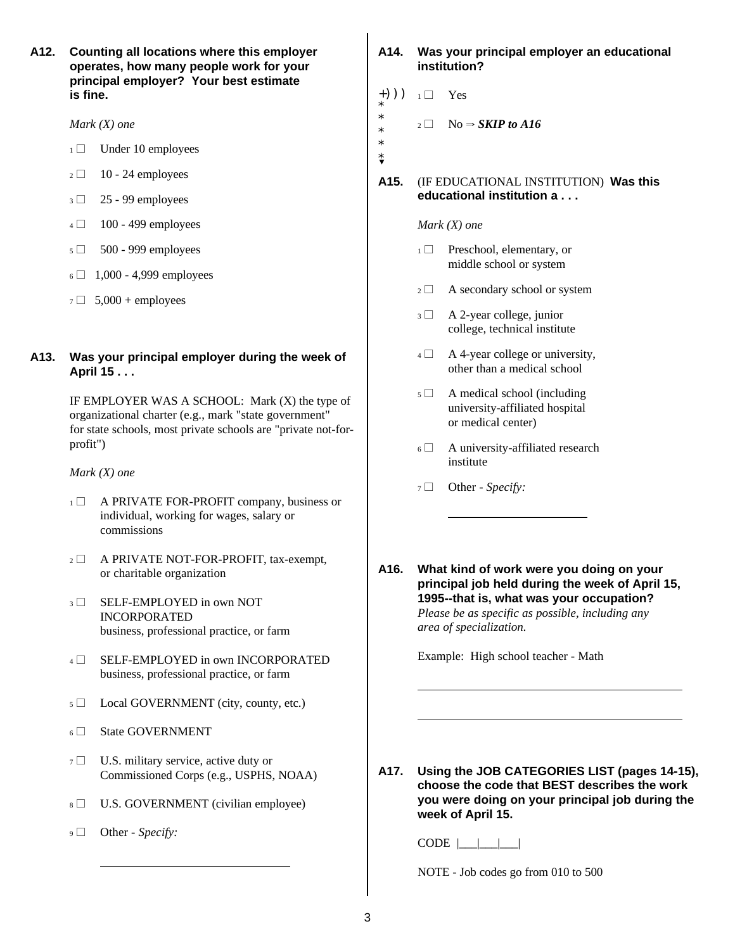**operates, how many people work for your institution? principal employer? Your best estimate is fine.**  $\left(\begin{array}{cc} + \end{array}\right)$   $\left(\begin{array}{cc} + \end{array}\right)$   $\left(\begin{array}{cc} - \end{array}\right)$ 

- $1 \Box$  Under 10 employees
- $2 \Box$  10 24 employees
- $3 \Box$  25 99 employees
- $4 \Box$  100 499 employees
- $5 \Box$  500 999 employees
- $6 \Box$  1,000 4,999 employees
- $7 \square$  5,000 + employees

#### **A13. Was your principal employer during the week of April 15 . . .**

IF EMPLOYER WAS A SCHOOL: Mark (X) the type of organizational charter (e.g., mark "state government" for state schools, most private schools are "private not-forprofit")

*Mark (X) one*

- 1 A PRIVATE FOR-PROFIT company, business or individual, working for wages, salary or commissions
- $2 \Box$  A PRIVATE NOT-FOR-PROFIT, tax-exempt, or charitable organization
- 3 **SELF-EMPLOYED** in own NOT INCORPORATED business, professional practice, or farm
- 4 E SELF-EMPLOYED in own INCORPORATED business, professional practice, or farm
- $5 \Box$  Local GOVERNMENT (city, county, etc.)
- 6 State GOVERNMENT
- $7 \Box$  U.S. military service, active duty or Commissioned Corps (e.g., USPHS, NOAA)
- 8 U.S. GOVERNMENT (civilian employee)
- 9 Other Specify:

 $\ddot{\phantom{a}}$ 

## **A12. Counting all locations where this employer A14. Was your principal employer an educational**

- +))) \* \*
- *Mark (X) one* 2 2  $\Box$  No  $\Rightarrow$  *SKIP to A16* 
	- \* \* \*?

#### **A15.** (IF EDUCATIONAL INSTITUTION) **Was this educational institution a . . .**

#### *Mark (X) one*

- $_1 \Box$  Preschool, elementary, or middle school or system
- $_2 \square$  A secondary school or system
- $3 \Box$  A 2-year college, junior college, technical institute
- $4 \Box$  A 4-year college or university, other than a medical school
- $5 \Box$  A medical school (including university-affiliated hospital or medical center)
- $6 \Box$  A university-affiliated research institute
- 7 **Other** *Specify*:

 $\overline{a}$ 

**A16. What kind of work were you doing on your principal job held during the week of April 15, 1995--that is, what was your occupation?** *Please be as specific as possible, including any area of specialization.*

Example: High school teacher - Math

**A17. Using the JOB CATEGORIES LIST (pages 14-15), choose the code that BEST describes the work you were doing on your principal job during the week of April 15.**

l,

l,

 $CODE$   $\boxed{\underline{\qquad}\underline{\qquad}}$ 

NOTE - Job codes go from 010 to 500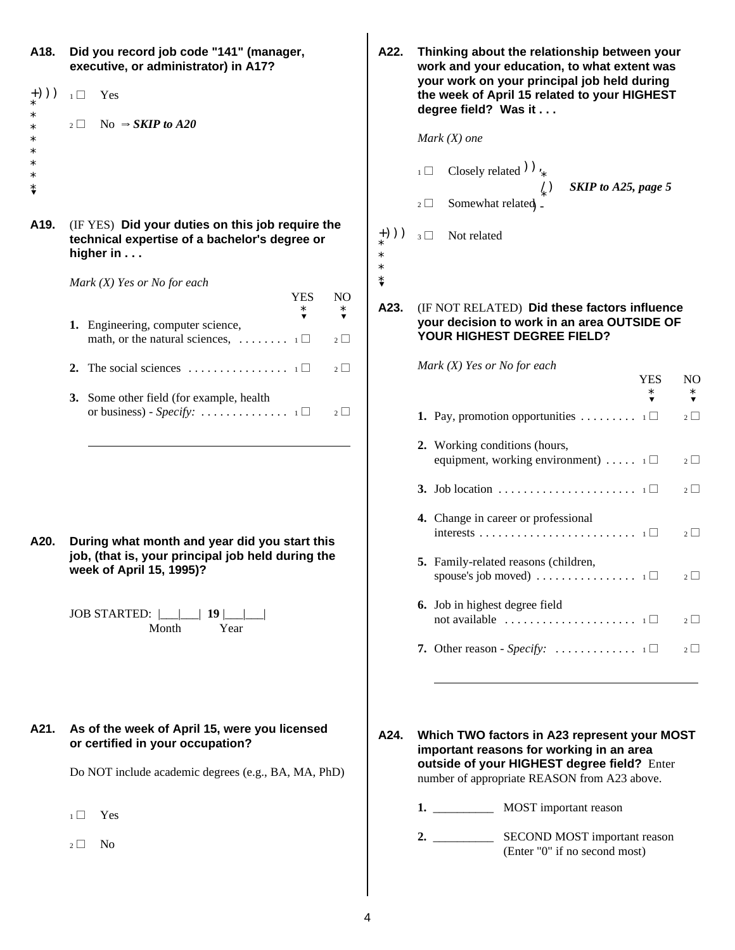| A18.<br>$_{{*}}^{+}))$<br>$\ast$<br>$\ast$ | Did you record job code "141" (manager,<br>executive, or administrator) in A17?<br>Yes<br>$\overline{1}$<br>No $\Rightarrow$ SKIP to A20<br>$2 \mid$                                                                        | A22.                      | Thinking about the relationship between your<br>work and your education, to what extent was<br>your work on your principal job held during<br>the week of April 15 related to your HIGHEST<br>degree field? Was it<br>Mark $(X)$ one |
|--------------------------------------------|-----------------------------------------------------------------------------------------------------------------------------------------------------------------------------------------------------------------------------|---------------------------|--------------------------------------------------------------------------------------------------------------------------------------------------------------------------------------------------------------------------------------|
| $\ast$<br>$\ast$<br>*<br>⇟                 |                                                                                                                                                                                                                             |                           | Closely related $)$ ,<br>$1\Box$<br>SKIP to A25, page 5<br>Somewhat related _<br>$2 \Box$                                                                                                                                            |
| A19.                                       | (IF YES) Did your duties on this job require the<br>technical expertise of a bachelor's degree or<br>higher in                                                                                                              | $+))$<br>$\ast$<br>$\ast$ | Not related<br>$3\Box$                                                                                                                                                                                                               |
|                                            | Mark $(X)$ Yes or No for each<br><b>YES</b><br>NO<br>$\ast$<br>$\ast$<br>$\blacktriangledown$<br>$\blacktriangledown$<br>1. Engineering, computer science,<br>math, or the natural sciences, $\dots \dots \dots$<br>$2\Box$ | $\pmb{\ast}$<br>A23.      | (IF NOT RELATED) Did these factors influence<br>your decision to work in an area OUTSIDE OF<br>YOUR HIGHEST DEGREE FIELD?                                                                                                            |
|                                            | 2. The social sciences $\dots \dots \dots \dots \dots \dots \dots \dots$<br>$2\Box$                                                                                                                                         |                           | Mark $(X)$ Yes or No for each<br><b>YES</b>                                                                                                                                                                                          |
|                                            | 3. Some other field (for example, health<br>$2\Box$                                                                                                                                                                         |                           | $\ast$<br><b>1.</b> Pay, promotion opportunities $\dots \dots \dots \dots$                                                                                                                                                           |
|                                            |                                                                                                                                                                                                                             |                           | 2. Working conditions (hours,<br>equipment, working environment) $\ldots$ $\ldots$ $\Box$                                                                                                                                            |
|                                            |                                                                                                                                                                                                                             |                           |                                                                                                                                                                                                                                      |
| A20.                                       | During what month and year did you start this                                                                                                                                                                               |                           | 4. Change in career or professional                                                                                                                                                                                                  |
|                                            | job, (that is, your principal job held during the<br>week of April 15, 1995)?                                                                                                                                               |                           | 5. Family-related reasons (children,                                                                                                                                                                                                 |
|                                            | JOB STARTED:  __ <br>19 <sub>1</sub><br>Year<br>Month                                                                                                                                                                       |                           | 6. Job in highest degree field<br>not available $\dots \dots \dots \dots \dots \dots \dots \dots \dots$                                                                                                                              |
|                                            |                                                                                                                                                                                                                             |                           | 7. Other reason - Specify: $\dots \dots \dots \dots \dots \dots$                                                                                                                                                                     |

#### **A21. As of the week of April 15, were you licensed or certified in your occupation?**

Do NOT include academic degrees (e.g., BA, MA, PhD)

 $1 \Box$  Yes

 $_2 \Box$  No

| Did you record job code "141" (manager,<br>executive, or administrator) in A17?<br>$1\Box$<br>Yes                      | A22.                      | Thinking about the relationship between your<br>work and your education, to what extent was<br>your work on your principal job held during<br>the week of April 15 related to your HIGHEST |
|------------------------------------------------------------------------------------------------------------------------|---------------------------|--------------------------------------------------------------------------------------------------------------------------------------------------------------------------------------------|
|                                                                                                                        |                           | degree field? Was it                                                                                                                                                                       |
| No $\Rightarrow$ SKIP to A20<br>$2\Box$                                                                                |                           | Mark $(X)$ one                                                                                                                                                                             |
|                                                                                                                        |                           | Closely related $)$ ,<br>$1\Box$<br>SKIP to A25, page 5                                                                                                                                    |
|                                                                                                                        |                           | Somewhat related _<br>$2\Box$                                                                                                                                                              |
| (IF YES) Did your duties on this job require the<br>technical expertise of a bachelor's degree or<br>higher in $\dots$ | $+))$<br>$\ast$<br>$\ast$ | Not related<br>$3\Box$                                                                                                                                                                     |
| Mark (X) Yes or No for each<br><b>YES</b><br>N <sub>O</sub>                                                            | $\ddot{\ddot{\text{}}}$   |                                                                                                                                                                                            |
| $\ast$<br>$\ast$<br>$\overline{\mathbf{v}}$<br>$\blacktriangledown$<br>1. Engineering, computer science,<br>$2\Box$    | A23.                      | (IF NOT RELATED) Did these factors influence<br>your decision to work in an area OUTSIDE OF<br>YOUR HIGHEST DEGREE FIELD?                                                                  |
| 2. The social sciences $\dots \dots \dots \dots \dots \dots$<br>$2\Box$                                                |                           | Mark $(X)$ Yes or No for each<br><b>YES</b><br>N <sub>O</sub>                                                                                                                              |
| 3. Some other field (for example, health                                                                               |                           | $\ast$                                                                                                                                                                                     |
| or business) - Specify: $\dots \dots \dots \dots \dots \dots \dots \dots \dots \dots \dots$<br>$2\Box$                 |                           | <b>1.</b> Pay, promotion opportunities $\dots \dots \dots \dots \dots \dots$<br>$2\Box$                                                                                                    |
|                                                                                                                        |                           | 2. Working conditions (hours,<br>equipment, working environment) $\ldots$ $\ldots$ $\Box$<br>$2\Box$                                                                                       |
|                                                                                                                        |                           | $2\Box$                                                                                                                                                                                    |
| During what month and year did you start this                                                                          |                           | 4. Change in career or professional<br>$2\Box$                                                                                                                                             |
| job, (that is, your principal job held during the<br>week of April 15, 1995)?                                          |                           | 5. Family-related reasons (children,<br>$2\Box$                                                                                                                                            |

- **6.** Job in highest degree field not available  $\ldots \ldots \ldots \ldots \ldots \ldots \ldots \quad 1 \Box$  2 **7.** Other reason - *Specify:*  $\dots$   $\dots$   $\dots$   $1 \Box$   $2 \Box$
- **A24. Which TWO factors in A23 represent your MOST**

**important reasons for working in an area outside of your HIGHEST degree field?** Enter number of appropriate REASON from A23 above.

- **1.** \_\_\_\_\_\_\_\_\_\_ MOST important reason
- **2.** \_\_\_\_\_\_\_\_\_\_ SECOND MOST important reason (Enter "0" if no second most)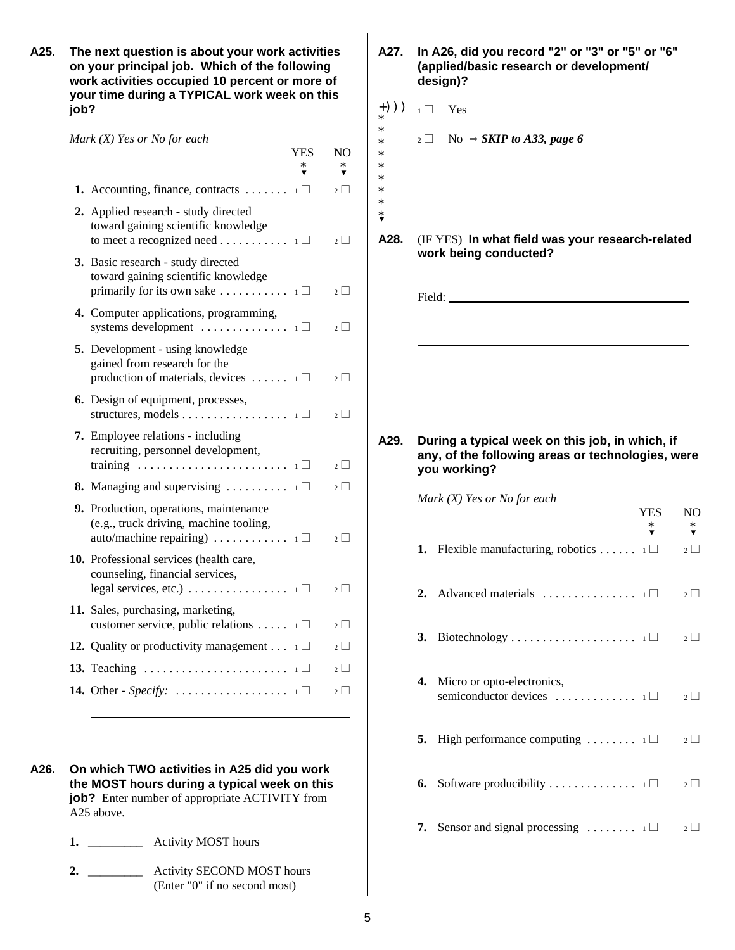**A25. The next question is about your work activities A27. In A26, did you record "2" or "3" or "5" or "6" on your principal job. Which of the following (applied/basic research or development/ work activities occupied 10 percent or more of design)? your time during a TYPICAL work week on this**  $\mathsf{job?}$   $(+)$ ))  $\Box$  Yes

| Mark (X) Yes or No for eacn                                                                                                               |     |                       |
|-------------------------------------------------------------------------------------------------------------------------------------------|-----|-----------------------|
|                                                                                                                                           | YES | NO<br>*               |
| 1. Accounting, finance, contracts $\dots \dots \dots \dots$                                                                               |     | $2\Box$               |
| 2. Applied research - study directed<br>toward gaining scientific knowledge<br>to meet a recognized need $\Box$                           |     | $2\Box$               |
| 3. Basic research - study directed<br>toward gaining scientific knowledge<br>primarily for its own sake $\ldots \ldots \ldots 1$          |     | $\overline{2}$ $\Box$ |
| 4. Computer applications, programming,<br>systems development $\dots \dots \dots \dots \dots$                                             |     | $2\Box$               |
| 5. Development - using knowledge<br>gained from research for the<br>production of materials, devices $\dots \dots$ 1                      |     | $2\Box$               |
| <b>6.</b> Design of equipment, processes,<br>structures, models $\Box$                                                                    |     | $\overline{2}$ $\Box$ |
| 7. Employee relations - including<br>recruiting, personnel development,                                                                   |     | $2\Box$               |
| <b>8.</b> Managing and supervising $\ldots \ldots \ldots \ldots \sqcup \square$                                                           |     | $2\Box$               |
| 9. Production, operations, maintenance<br>(e.g., truck driving, machine tooling,<br>auto/machine repairing) $\ldots \ldots \ldots \ldots$ |     | $2\Box$               |
| 10. Professional services (health care,<br>counseling, financial services,<br>legal services, etc.) $\ldots \ldots \ldots \ldots \ldots$  |     | $2\Box$               |
| 11. Sales, purchasing, marketing,<br>customer service, public relations $\ldots$ $\ldots$ $\Box$                                          |     | $2 \Box$              |
| <b>12.</b> Quality or productivity management $\ldots$ 1                                                                                  |     | $2 \mid$              |
| 13. Teaching $\ldots \ldots \ldots \ldots \ldots \ldots \ldots \ldots$                                                                    |     | $2\Box$               |
|                                                                                                                                           |     | $2\Box$               |

- **A26. On which TWO activities in A25 did you work the MOST hours during a typical week on this job?** Enter number of appropriate ACTIVITY from A25 above.
	- **1.** \_\_\_\_\_\_\_\_\_ Activity MOST hours
	- **2.** \_\_\_\_\_\_\_\_\_ Activity SECOND MOST hours (Enter "0" if no second most)
- 
- \*

\* \* \* \* \* \* \* \*?

- *Mark (X) Yes or No for each* 2  $\uparrow$   $\star$  2  $\Box$  No  $\Rightarrow$  **SKIP to A33, page 6** 
	- **A28.** (IF YES) **In what field was your research-related work being conducted?**

Field: New York 1988.

i<br>I

**A29. During a typical week on this job, in which, if any, of the following areas or technologies, were you working?**

*Mark (X) Yes or No for each*

|    |                                                                                           | <b>YES</b><br>$\ast$ | NO<br>$\ast$<br>▼ |
|----|-------------------------------------------------------------------------------------------|----------------------|-------------------|
|    | <b>1.</b> Flexible manufacturing, robotics $\Box$ $\Box$ $\Box$                           |                      |                   |
|    | 2. Advanced materials $\dots \dots \dots \dots \dots \dots$                               |                      | $2\Box$           |
|    |                                                                                           |                      | $2\Box$           |
| 4. | Micro or opto-electronics,<br>semiconductor devices $\dots \dots \dots \dots \dots \dots$ |                      | $2\Box$           |
|    | <b>5.</b> High performance computing $\ldots \ldots \ldots \ldots \square$                |                      | $2\Box$           |
|    | <b>6.</b> Software producibility $\Box$                                                   |                      | $2 \Box$          |
|    | 7. Sensor and signal processing $\dots \dots 1$                                           |                      | $2\Box$           |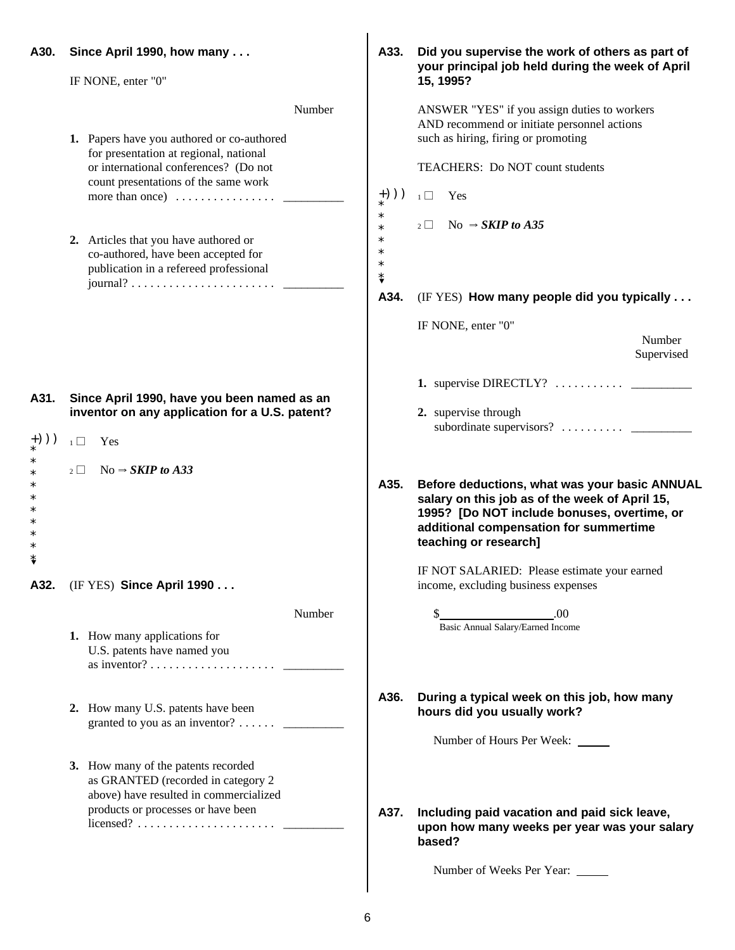| A30.         | Since April 1990, how many                                                                                                                                                                                                         | A33.                                                                        | Did you supervise the work of others as part of<br>your principal job held during the week of April                                                                                                               |
|--------------|------------------------------------------------------------------------------------------------------------------------------------------------------------------------------------------------------------------------------------|-----------------------------------------------------------------------------|-------------------------------------------------------------------------------------------------------------------------------------------------------------------------------------------------------------------|
|              | IF NONE, enter "0"                                                                                                                                                                                                                 |                                                                             | 15, 1995?                                                                                                                                                                                                         |
|              | Number<br>1. Papers have you authored or co-authored<br>for presentation at regional, national<br>or international conferences? (Do not<br>count presentations of the same work<br>more than once) $\dots \dots \dots \dots \dots$ | $+))$                                                                       | ANSWER "YES" if you assign duties to workers<br>AND recommend or initiate personnel actions<br>such as hiring, firing or promoting<br>TEACHERS: Do NOT count students<br>Yes<br>$\overline{1}$                    |
|              | 2. Articles that you have authored or<br>co-authored, have been accepted for<br>publication in a refereed professional                                                                                                             | $\ast$<br>$\ast$<br>$\ast$<br>$\ast$<br>$\ast$<br>$\overset{*}{\mathbf{v}}$ | $_2 \Box$ No $\Rightarrow$ SKIP to A35                                                                                                                                                                            |
|              |                                                                                                                                                                                                                                    | A34.                                                                        | (IF YES) How many people did you typically                                                                                                                                                                        |
|              |                                                                                                                                                                                                                                    |                                                                             | IF NONE, enter "0"<br>Number<br>Supervised                                                                                                                                                                        |
| A31.<br>$+)$ | Since April 1990, have you been named as an<br>inventor on any application for a U.S. patent?<br>$1\Box$<br>Yes                                                                                                                    |                                                                             | 1. supervise DIRECTLY? $\ldots$<br>2. supervise through                                                                                                                                                           |
| *            | No $\Rightarrow$ SKIP to A33<br>$2\Box$                                                                                                                                                                                            | A35.                                                                        | Before deductions, what was your basic ANNUAL<br>salary on this job as of the week of April 15,<br>1995? [Do NOT include bonuses, overtime, or<br>additional compensation for summertime<br>teaching or research] |
| A32.         | (IF YES) Since April 1990                                                                                                                                                                                                          |                                                                             | IF NOT SALARIED: Please estimate your earned<br>income, excluding business expenses                                                                                                                               |
|              | Number<br>1. How many applications for<br>U.S. patents have named you                                                                                                                                                              |                                                                             | .00<br>Basic Annual Salary/Earned Income                                                                                                                                                                          |
|              | 2. How many U.S. patents have been<br>granted to you as an inventor? $\dots \dots$                                                                                                                                                 | A36.                                                                        | During a typical week on this job, how many<br>hours did you usually work?<br>Number of Hours Per Week: _____                                                                                                     |
|              | 3. How many of the patents recorded<br>as GRANTED (recorded in category 2<br>above) have resulted in commercialized<br>products or processes or have been                                                                          | A37.                                                                        | Including paid vacation and paid sick leave,<br>upon how many weeks per year was your salary<br>based?<br>Number of Weeks Per Year:                                                                               |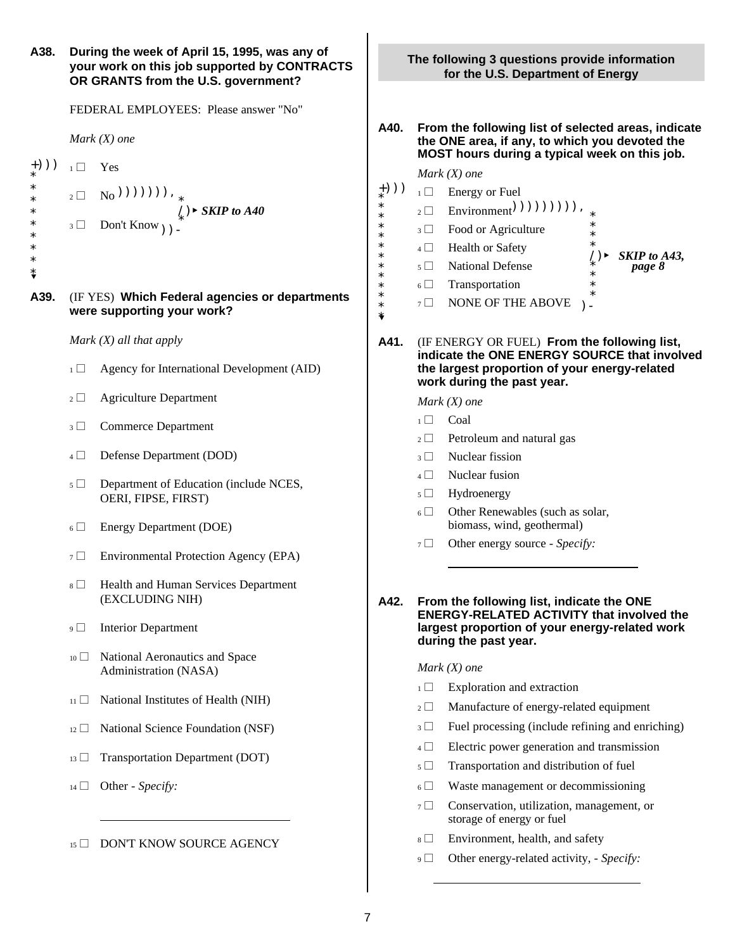| A38.             |                | During the week of April 15, 1995, was any of<br>your work on this job supported by CONTRACTS<br>OR GRANTS from the U.S. government? |                            | Th                         |
|------------------|----------------|--------------------------------------------------------------------------------------------------------------------------------------|----------------------------|----------------------------|
|                  |                | FEDERAL EMPLOYEES: Please answer "No"                                                                                                |                            |                            |
|                  |                | Mark $(X)$ one                                                                                                                       | A40.                       | F<br>t<br>N                |
| $+))$            | $\overline{1}$ | Yes                                                                                                                                  |                            | Λ                          |
| $^\ast$          |                |                                                                                                                                      | $_*)))$                    | $\mathbf{1}$               |
| ∗<br>∗<br>*<br>∗ |                | 2 □ No <sup>(()</sup> )()()()(), *<br>() > SKIP to A40<br>3 □ Don't Know <sub>()</sub> ) -                                           | $\ast$<br>*<br>*<br>*<br>* | $\boldsymbol{2}$<br>3<br>4 |
| ∗<br>⇟           |                |                                                                                                                                      | *<br>*                     | $\sqrt{5}$                 |
| A39.             |                | (IF YES) Which Federal agencies or departments<br>were supporting your work?                                                         | *<br>*<br>*<br>*<br>¥      | 6<br>7                     |
|                  |                | Mark $(X)$ all that apply                                                                                                            | A41.                       | (                          |
|                  | $1 \Box$       | Agency for International Development (AID)                                                                                           |                            | Ш                          |
|                  | $2 \Box$       | <b>Agriculture Department</b>                                                                                                        |                            | V<br>Λ                     |
|                  | $3 \Box$       | <b>Commerce Department</b>                                                                                                           |                            | $\mathbf{1}$               |
|                  | $4 \Box$       | Defense Department (DOD)                                                                                                             |                            | 2<br>3                     |
|                  | $5 \Box$       | Department of Education (include NCES,<br>OERI, FIPSE, FIRST)                                                                        |                            | $\overline{4}$<br>5        |
|                  | $6\Box$        | Energy Department (DOE)                                                                                                              |                            | 6                          |
|                  | $7\Box$        | Environmental Protection Agency (EPA)                                                                                                |                            | $\tau$                     |
|                  | $8 \Box$       | Health and Human Services Department<br>(EXCLUDING NIH)                                                                              | A42.                       | F                          |
|                  | $\overline{9}$ | <b>Interior Department</b>                                                                                                           |                            | E                          |
|                  | $10 \Box$      | National Aeronautics and Space<br>Administration (NASA)                                                                              |                            | Λ                          |
|                  | 11             | National Institutes of Health (NIH)                                                                                                  |                            | $\mathbf{1}$<br>2          |
|                  | $12\Box$       | National Science Foundation (NSF)                                                                                                    |                            | 3                          |
|                  | $13 \Box$      | Transportation Department (DOT)                                                                                                      |                            | 4                          |
|                  | $14 \Box$      | Other - Specify:                                                                                                                     |                            | 5<br>6                     |
|                  |                |                                                                                                                                      |                            | 7                          |
|                  | $15 \Box$      | DON'T KNOW SOURCE AGENCY                                                                                                             |                            | 8                          |

**The following 3 questions provide information for the U.S. Department of Energy**

- **A40. From the following list of selected areas, indicate the ONE area, if any, to which you devoted the MOST hours during a typical week on this job.**
	- *Mark (X) one*

 $\mathbf{I}$ 

- $\Box$  Energy or Fuel
- $_2 \Box$  Environment<sup>()</sup>)))))))),  $_*$
- $\text{culture}$   $*$  $\overline{\mathcal{A}}$   $\overline{\mathcal{A}}$   $\overline{\mathcal{A}}$  Food or Agriculture  $\overline{\mathcal{A}}$  $4 \Box$  Health or Safety  $*$
- /)< *SKIP to A43,* \* *page 8*  $\begin{array}{ccc}\n\ast & & & \ast \\
\ast & & & \ast\n\end{array}$ <sup>5</sup> ~ National Defense
- $\sum_{k=1}^{\infty}$  $\Box$  Transportation
- $\overline{H}$   $\overline{H}$   $\overline{H}$   $\overline{H}$   $\overline{H}$   $\overline{H}$   $\overline{H}$   $\overline{H}$   $\overline{H}$   $\overline{H}$   $\overline{H}$   $\overline{H}$   $\overline{H}$   $\overline{H}$   $\overline{H}$   $\overline{H}$   $\overline{H}$   $\overline{H}$   $\overline{H}$   $\overline{H}$   $\overline{H}$   $\overline{H}$   $\overline{H}$   $\overline{H}$   $\overline{$  $7 \Box$  NONE OF THE ABOVE  $\Box$  -
- **A41.** (IF ENERGY OR FUEL) **From the following list, indicate the ONE ENERGY SOURCE that involved the largest proportion of your energy-related work during the past year.**

#### *Mark (X) one*

- $\Box$  Coal
- $\Box$  Petroleum and natural gas
- $\Box$  Nuclear fission
- $\Box$  Nuclear fusion
- $\Box$  Hydroenergy
- $\Box$  Other Renewables (such as solar, biomass, wind, geothermal)
- □ Other energy source *Specify*:
- **A42. From the following list, indicate the ONE ENERGY-RELATED ACTIVITY that involved the largest proportion of your energy-related work during the past year.**

#### *Mark (X) one*

 $\overline{a}$ 

- $\Box$  Exploration and extraction
- $\Box$  Manufacture of energy-related equipment
- $\Box$  Fuel processing (include refining and enriching)
- $\Box$  Electric power generation and transmission
- $\Box$  Transportation and distribution of fuel
- $\Box$  Waste management or decommissioning
- $\Box$  Conservation, utilization, management, or storage of energy or fuel
- $\Box$  Environment, health, and safety
- 9 Other energy-related activity, *Specify*: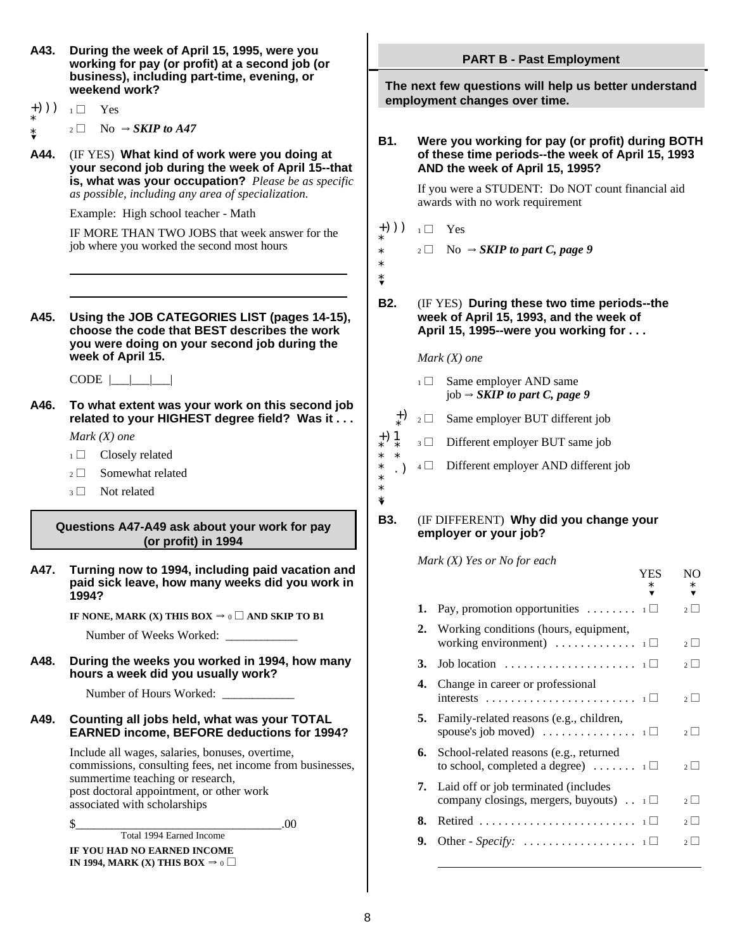- **A43. During the week of April 15, 1995, were you working for pay (or profit) at a second job (or business), including part-time, evening, or weekend work?**
- +)))  $_1 \square$  Yes
- \* \*?  $_2 \Box$  No  $\Rightarrow$  *SKIP to A47*
- **A44.** (IF YES) **What kind of work were you doing at your second job during the week of April 15--that is, what was your occupation?** *Please be as specific as possible, including any area of specialization.*

Example: High school teacher - Math

IF MORE THAN TWO JOBS that week answer for the job where you worked the second most hours

**A45. Using the JOB CATEGORIES LIST (pages 14-15), choose the code that BEST describes the work you were doing on your second job during the week of April 15.**

 $CODE \mid \quad | \quad |$ 

**A46. To what extent was your work on this second job related to your HIGHEST degree field? Was it ...**  $\left[\begin{array}{c} \pm \sqrt{2} \\ \pm \sqrt{2} \end{array}\right]$  Same employer BUT different job

*Mark (X) one*

- $1 \Box$  Closely related
- $2 \Box$  Somewhat related
- $3 \Box$  Not related

**Questions A47-A49 ask about your work for pay (or profit) in 1994**

**A47. Turning now to 1994, including paid vacation and paid sick leave, how many weeks did you work in 1994?**

**IF NONE, MARK (X) THIS BOX**  $\Rightarrow$   $0 \Box$  AND SKIP TO B1

Number of Weeks Worked:

#### **A48. During the weeks you worked in 1994, how many hours a week did you usually work?**

Number of Hours Worked: \_

#### **A49. Counting all jobs held, what was your TOTAL EARNED income, BEFORE deductions for 1994?**

Include all wages, salaries, bonuses, overtime, commissions, consulting fees, net income from businesses, summertime teaching or research, post doctoral appointment, or other work associated with scholarships

 $\frac{\sqrt{3}}{2}$  .00 Total 1994 Earned Income

**IF YOU HAD NO EARNED INCOME IN 1994, MARK (X) THIS BOX**  $\Rightarrow$  0 **PART B - Past Employment**

**The next few questions will help us better understand employment changes over time.**

**B1. Were you working for pay (or profit) during BOTH of these time periods--the week of April 15, 1993 AND the week of April 15, 1995?**

> If you were a STUDENT: Do NOT count financial aid awards with no work requirement

- $(+))$ )  $_1 \Box$  Yes
	- $_2 \Box$  No  $\Rightarrow$  *SKIP to part C, page 9*

\* \* \*?

\*

**B2.** (IF YES) **During these two time periods--the week of April 15, 1993, and the week of April 15, 1995--were you working for . . .**

*Mark (X) one*

- $1 \Box$  Same employer AND same  $job \rightarrow SKIP$  *to part C, page 9*
- +) \*
- +)1 \* \*  $3 \Box$  Different employer BUT same job
- \* \* \* .)  $4 \Box$  Different employer AND different job

\* \* \*?

#### **B3.** (IF DIFFERENT) **Why did you change your employer or your job?**

*Mark (X) Yes or No for each*

|    |                                                                                                           | $\ast$ | $\ast$   |
|----|-----------------------------------------------------------------------------------------------------------|--------|----------|
| 1. | Pay, promotion opportunities $\ldots \ldots \ldots$                                                       |        | $2\Box$  |
| 2. | Working conditions (hours, equipment,<br>working environment) $\ldots \ldots \ldots \ldots$               |        | $2 \mid$ |
| 3. | Job location $\dots \dots \dots \dots \dots \dots \dots \dots \dots$                                      |        | $2 \mid$ |
| 4. | Change in career or professional                                                                          |        | $2\mid$  |
| 5. | Family-related reasons (e.g., children,<br>spouse's job moved) $\dots \dots \dots \dots \dots \dots$      |        | 2        |
| 6. | School-related reasons (e.g., returned<br>to school, completed a degree) $\dots \dots$                    |        | $2\mid$  |
|    | <b>7.</b> Laid off or job terminated (includes<br>company closings, mergers, buyouts) $\therefore$ $\Box$ |        | $2 \mid$ |
| 8. |                                                                                                           |        | 2        |
| 9. |                                                                                                           |        | $2 \mid$ |
|    |                                                                                                           |        |          |

YES NO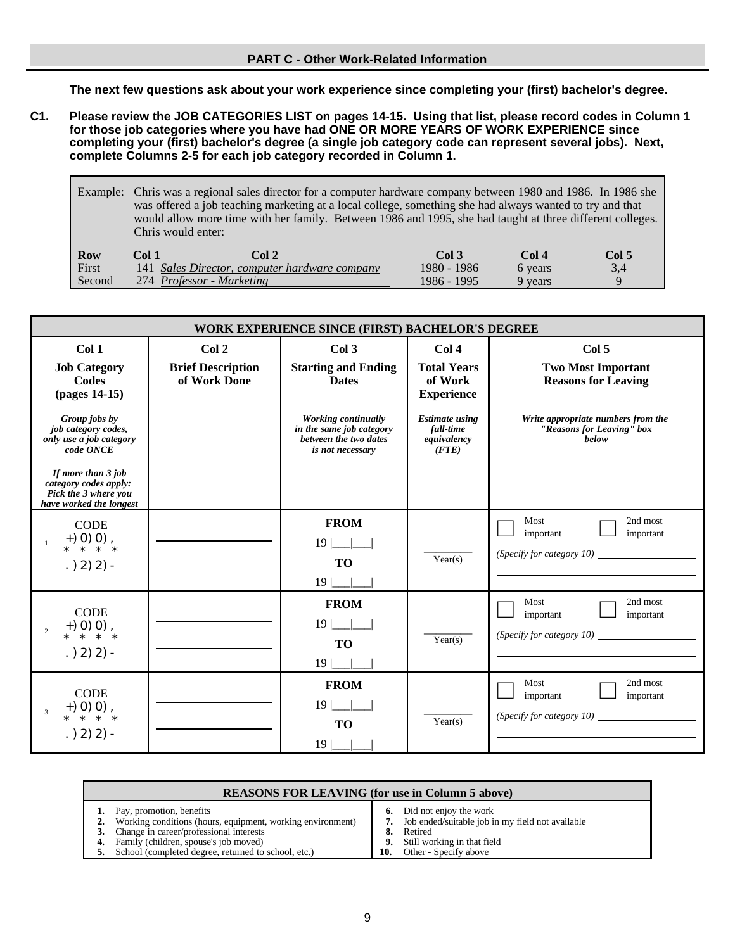**The next few questions ask about your work experience since completing your (first) bachelor's degree.**

- **C1. Please review the JOB CATEGORIES LIST on pages 14-15. Using that list, please record codes in Column 1 for those job categories where you have had ONE OR MORE YEARS OF WORK EXPERIENCE since completing your (first) bachelor's degree (a single job category code can represent several jobs). Next, complete Columns 2-5 for each job category recorded in Column 1.**
	- Example: Chris was a regional sales director for a computer hardware company between 1980 and 1986. In 1986 she was offered a job teaching marketing at a local college, something she had always wanted to try and that would allow more time with her family. Between 1986 and 1995, she had taught at three different colleges. Chris would enter:

| <b>Row</b> | Tol 1 | Col 2                                         | Col 3       | Col 4   | Col 5 |
|------------|-------|-----------------------------------------------|-------------|---------|-------|
| First      |       | 141 Sales Director, computer hardware company | 1980 - 1986 | 6 years | 3.4   |
| Second     |       | 274 Professor - Marketing                     | 1986 - 1995 | 9 years |       |

|                                                                                                                                                                                                                                                     | WORK EXPERIENCE SINCE (FIRST) BACHELOR'S DEGREE   |                                                                                                                                                                       |                                                                                                                           |                                                                                                                                                     |  |
|-----------------------------------------------------------------------------------------------------------------------------------------------------------------------------------------------------------------------------------------------------|---------------------------------------------------|-----------------------------------------------------------------------------------------------------------------------------------------------------------------------|---------------------------------------------------------------------------------------------------------------------------|-----------------------------------------------------------------------------------------------------------------------------------------------------|--|
| Col <sub>1</sub><br><b>Job Category</b><br>Codes<br>(pages 14-15)<br>Group jobs by<br>job category codes,<br>only use a job category<br>code ONCE<br>If more than 3 job<br>category codes apply:<br>Pick the 3 where you<br>have worked the longest | Col 2<br><b>Brief Description</b><br>of Work Done | Col <sub>3</sub><br><b>Starting and Ending</b><br><b>Dates</b><br><b>Working continually</b><br>in the same job category<br>between the two dates<br>is not necessary | Col 4<br><b>Total Years</b><br>of Work<br><b>Experience</b><br><b>Estimate using</b><br>full-time<br>equivalency<br>(STE) | Col 5<br><b>Two Most Important</b><br><b>Reasons for Leaving</b><br>Write appropriate numbers from the<br>"Reasons for Leaving" box<br><b>below</b> |  |
| <b>CODE</b><br>$(1, 0)$ (1), $(1, 0)$ , $(1, 0)$<br>$. (2)$ 2) 2) -                                                                                                                                                                                 |                                                   | <b>FROM</b><br>$19$ $\frac{\phantom{0}}{\phantom{0}}$<br><b>TO</b><br>$19$                                                                                            | Year(s)                                                                                                                   | Most<br>2nd most<br>important<br>important<br>(Specify for category $10$ )                                                                          |  |
| <b>CODE</b><br>$(1, 0)$ (1), $(1, 0)$ , $(1, 0)$<br>$\overline{2}$<br>$. (2)$ 2) 2) -                                                                                                                                                               |                                                   | <b>FROM</b><br>$19$ $\_\_$<br><b>TO</b><br>$19$                                                                                                                       | Year(s)                                                                                                                   | Most<br>2nd most<br>important<br>important<br>(Specify for category $10$ )                                                                          |  |
| <b>CODE</b><br>$(1, 0)$ (1), $(1, 0)$ , $(1, 0)$<br>$\overline{3}$<br>$. (2)$ 2) 2) -                                                                                                                                                               |                                                   | <b>FROM</b><br>$19$ $\frac{\phantom{0}}{\phantom{0}}$<br><b>TO</b><br>$19 \mid$                                                                                       | Year(s)                                                                                                                   | Most<br>2nd most<br>important<br>important<br>(Specify for category 10)                                                                             |  |

| <b>REASONS FOR LEAVING (for use in Column 5 above)</b>                                                                                                                                                                                            |     |                                                                                                                                                                      |  |  |  |  |
|---------------------------------------------------------------------------------------------------------------------------------------------------------------------------------------------------------------------------------------------------|-----|----------------------------------------------------------------------------------------------------------------------------------------------------------------------|--|--|--|--|
| 1. Pay, promotion, benefits<br>Working conditions (hours, equipment, working environment)<br>Change in career/professional interests<br><b>4.</b> Family (children, spouse's job moved)<br>5. School (completed degree, returned to school, etc.) | 10. | <b>6.</b> Did not enjoy the work<br>Job ended/suitable job in my field not available<br>8. Retired<br><b>9.</b> Still working in that field<br>Other - Specify above |  |  |  |  |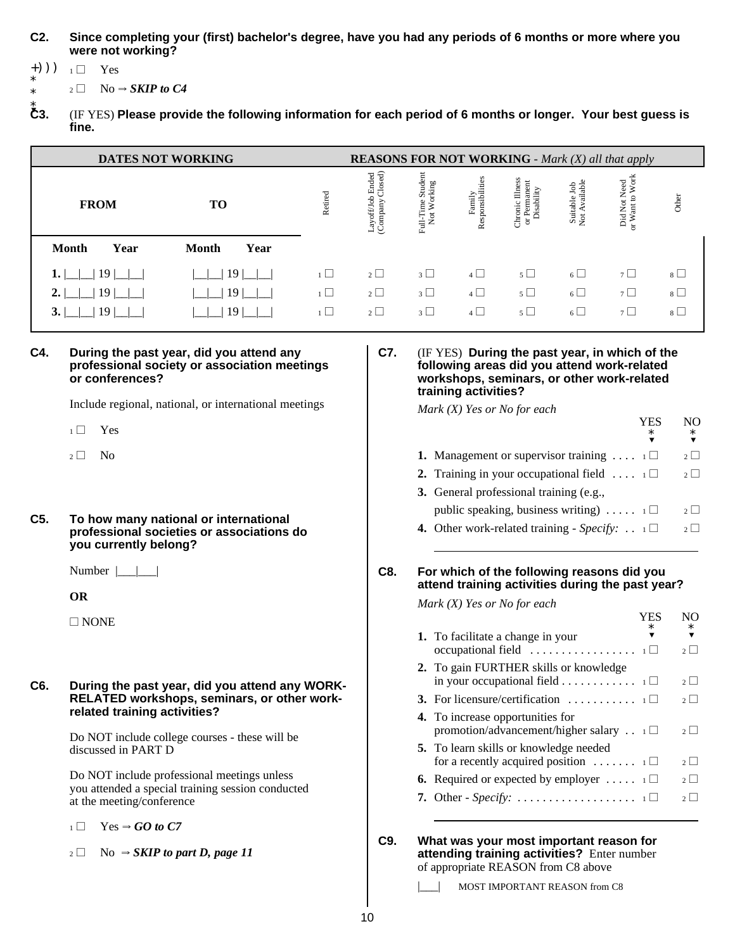#### **C2. Since completing your (first) bachelor's degree, have you had any periods of 6 months or more where you were not working?**

+)))  $_1 \square$  Yes \*

\*  $_2 \Box$  No  $\Rightarrow$  *SKIP to C4* 

 $\mathbf{C}3.$ **C3.** (IF YES) **Please provide the following information for each period of 6 months or longer. Your best guess is fine.**

| <b>DATES NOT WORKING</b> |                      | <b>REASONS FOR NOT WORKING</b> - Mark (X) all that apply |                                                  |                                  |                            |                                               |                               |                                                   |         |
|--------------------------|----------------------|----------------------------------------------------------|--------------------------------------------------|----------------------------------|----------------------------|-----------------------------------------------|-------------------------------|---------------------------------------------------|---------|
| <b>FROM</b>              | TО                   | Retired                                                  | b Ended<br>Closed)<br>Layoff/Job 1<br>(Company C | Full-Time Student<br>Not Working | Responsibilities<br>Family | Chronic Illness<br>or Permanent<br>Disability | Suitable Job<br>Not Available | Did Not Need<br>or Want to Work<br>$\overline{5}$ | Other   |
| <b>Month</b><br>Year     | Year<br><b>Month</b> |                                                          |                                                  |                                  |                            |                                               |                               |                                                   |         |
| 19                       | 19                   | $1\Box$                                                  | $2\Box$                                          | $3\Box$                          | $4\Box$                    | $5\Box$                                       | $6\Box$                       | $7\Box$                                           | $8\Box$ |
| 19                       | 19                   | $1\Box$                                                  | $2\Box$                                          | $3\Box$                          | $4\Box$                    | $5\Box$                                       | $6\Box$                       | $7\Box$                                           | $8\Box$ |
| 19                       | 19                   | $\iota \Box$                                             | $2\Box$                                          | $3\Box$                          | $4\Box$                    | $5\Box$                                       | $6\sqrt{ }$                   | $7\Box$                                           | $8\Box$ |

### **C4. During the past year, did you attend any C7.** (IF YES) **During the past year, in which of the** professional society or association meetings or conferences?

Include regional, national, or international meetings

- $_1 \Box$  Yes
- $_2 \Box$  No
- **C5. To how many national or international professional societies or associations do you currently belong?**

Number  $|\_\_|$ 

**OR**

 $\square$  NONE

#### **C6. During the past year, did you attend any WORK-RELATED workshops, seminars, or other workrelated training activities?**

Do NOT include college courses - these will be discussed in PART D

Do NOT include professional meetings unless you attended a special training session conducted at the meeting/conference

- $1 \Box$  Yes  $\Rightarrow$  *GO to C7*
- $_2 \Box$  No  $\Rightarrow$  *SKIP to part D, page 11*

## **or conferences? workshops, seminars, or other work-related training activities?**

*Mark (X) Yes or No for each*

| YES<br>$\ast$ | $\ast$                                                                                                                                                                                                                                              |
|---------------|-----------------------------------------------------------------------------------------------------------------------------------------------------------------------------------------------------------------------------------------------------|
|               | $2 \mid$                                                                                                                                                                                                                                            |
|               | 2 <sup>1</sup>                                                                                                                                                                                                                                      |
|               |                                                                                                                                                                                                                                                     |
|               | $2 \mid$                                                                                                                                                                                                                                            |
|               |                                                                                                                                                                                                                                                     |
|               | <b>1.</b> Management or supervisor training $\dots$ 1<br><b>2.</b> Training in your occupational field $\dots$ $\Box$<br>public speaking, business writing) $\ldots$ $\ldots$ $\Box$<br><b>4.</b> Other work-related training - Specify: $\ldots$ 1 |

#### **C8. For which of the following reasons did you attend training activities during the past year?**

*Mark (X) Yes or No for each*

|                                                                                                     | *        |
|-----------------------------------------------------------------------------------------------------|----------|
| 1. To facilitate a change in your<br>occupational field $\dots \dots \dots \dots \dots \dots \dots$ | 2        |
| 2. To gain FURTHER skills or knowledge<br>in your occupational field 1 $\Box$                       | $2 \mid$ |
| <b>3.</b> For licensure/certification $\ldots \ldots \ldots \ldots \square$                         | 2        |
| 4. To increase opportunities for<br>promotion/advancement/higher salary $\ldots$ 1                  | $2 \mid$ |
| <b>5.</b> To learn skills or knowledge needed<br>for a recently acquired position $\ldots \ldots$ 1 | $2 \mid$ |
| <b>6.</b> Required or expected by employer $\dots$ 1                                                | 2        |
| 7. Other - Specify: $\dots \dots \dots \dots \dots \dots \dots \dots \dots$                         | $\gamma$ |
|                                                                                                     |          |

YES NO

**C9. What was your most important reason for attending training activities?** Enter number of appropriate REASON from C8 above

MOST IMPORTANT REASON from C8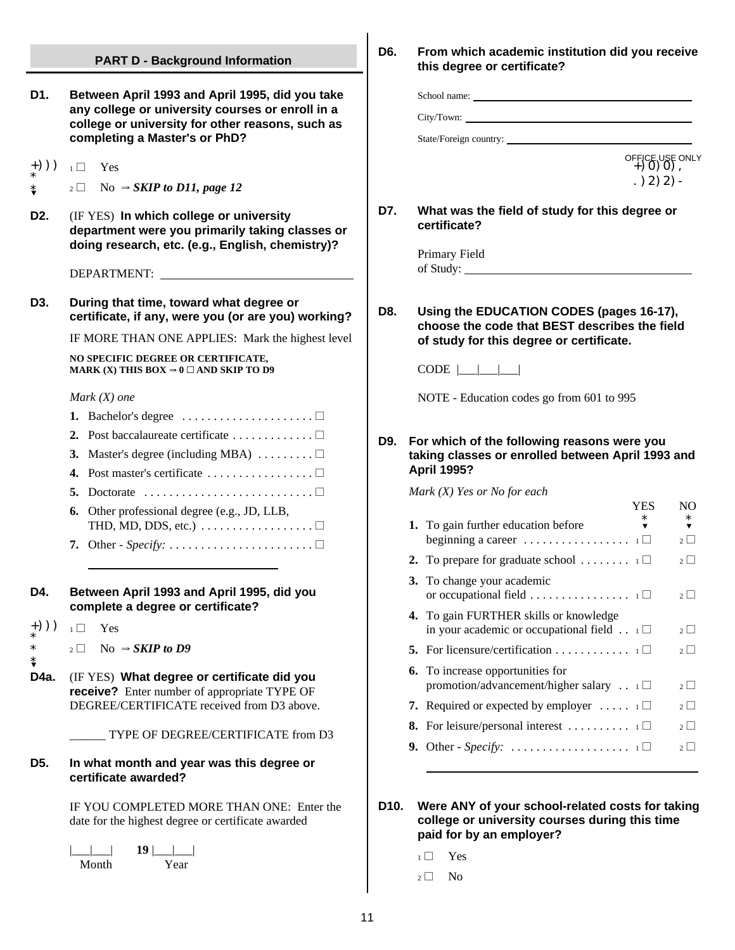### **PART D - Background Information D1. Between April 1993 and April 1995, did you take any college or university courses or enroll in a college or university for other reasons, such as completing a Master's or PhD?** +()))  $_{1} \Box$  Yes \* \*?  $_2 \Box$  No  $\Rightarrow$  *SKIP to D11, page 12* **D2.** (IF YES) **In which college or university department were you primarily taking classes or doing research, etc. (e.g., English, chemistry)?** DEPARTMENT: **D3. During that time, toward what degree or certificate, if any, were you (or are you) working?** IF MORE THAN ONE APPLIES: Mark the highest level **NO SPECIFIC DEGREE OR CERTIFICATE, MARK (X) THIS BOX**  $\Rightarrow$  **0**  $\Box$  **AND SKIP TO D9** *Mark (X) one* 1. Bachelor's degree  $\dots\dots\dots\dots\dots\dots \square$ 2. Post baccalaureate certificate  $\dots \dots \dots$ **3.** Master's degree (including MBA)  $\dots \dots \dots \dots$ **4.** Post master's certificate  $\dots \dots \dots \dots \dots \dots \dots$ **5.** Doctorate  $\dots \dots \dots \dots \dots \dots \dots \dots \dots \dots$ **6.** Other professional degree (e.g., JD, LLB, THD, MD, DDS, etc.)  $\dots \dots \dots \dots \dots \dots \dots$ **7.** Other - *Specify:* ....................... ~  $\overline{a}$ **D4. Between April 1993 and April 1995, did you complete a degree or certificate?** +)))  $_1 \square$  Yes \* \* \*<br>D4a.  $_2 \Box$  No  $\Rightarrow$  **SKIP to D9 D4a.** (IF YES) **What degree or certificate did you receive?** Enter number of appropriate TYPE OF DEGREE/CERTIFICATE received from D3 above. \_\_\_\_\_\_ TYPE OF DEGREE/CERTIFICATE from D3 **D5. In what month and year was this degree or certificate awarded?** IF YOU COMPLETED MORE THAN ONE: Enter the date for the highest degree or certificate awarded  $\Box$  **19**  $\Box$  | | Month Year

### **D6. From which academic institution did you receive this degree or certificate?**

School name:

City/Town:

State/Foreign country:

OFFICE USE ONLY<br>+) 0) 0),  $.$ ) 2) 2) -

**D7. What was the field of study for this degree or certificate?**

> Primary Field of Study:

**D8. Using the EDUCATION CODES (pages 16-17), choose the code that BEST describes the field of study for this degree or certificate.**

 $CODE$   $\boxed{\underline{\qquad}\underline{\qquad}}$ 

NOTE - Education codes go from 601 to 995

**D9. For which of the following reasons were you taking classes or enrolled between April 1993 and April 1995?**

*Mark (X) Yes or No for each*

|                                                                                                | YES | NΩ       |
|------------------------------------------------------------------------------------------------|-----|----------|
| 1. To gain further education before<br>beginning a career $\ldots \ldots \ldots \ldots \ldots$ |     | $2 \mid$ |
|                                                                                                |     |          |
| 2. To prepare for graduate school $\dots \dots \dots$                                          |     | 2 1      |
| 3. To change your academic<br>or occupational field 1 $\Box$                                   |     | 2        |
| <b>4.</b> To gain FURTHER skills or knowledge                                                  |     |          |
| in your academic or occupational field $\ldots$ 1                                              |     | $2 \mid$ |
| <b>5.</b> For licensure/certification 1                                                        |     | $2\mid$  |
| <b>6.</b> To increase opportunities for                                                        |     |          |
| promotion/advancement/higher salary . $\Box$                                                   |     | 2        |
| <b>7.</b> Required or expected by employer $\dots$ 1                                           |     | $2 \mid$ |
| <b>8.</b> For leisure/personal interest $\dots \dots \dots \dots$                              |     | $2 \mid$ |
| <b>9.</b> Other - Specify: $\ldots$ $\ldots$ $\ldots$ $\ldots$ $\ldots$ $\ldots$ $\ldots$      |     | 2        |
|                                                                                                |     |          |

**D10. Were ANY of your school-related costs for taking college or university courses during this time paid for by an employer?**

- $1 \Box$  Yes
- $_2 \square$  No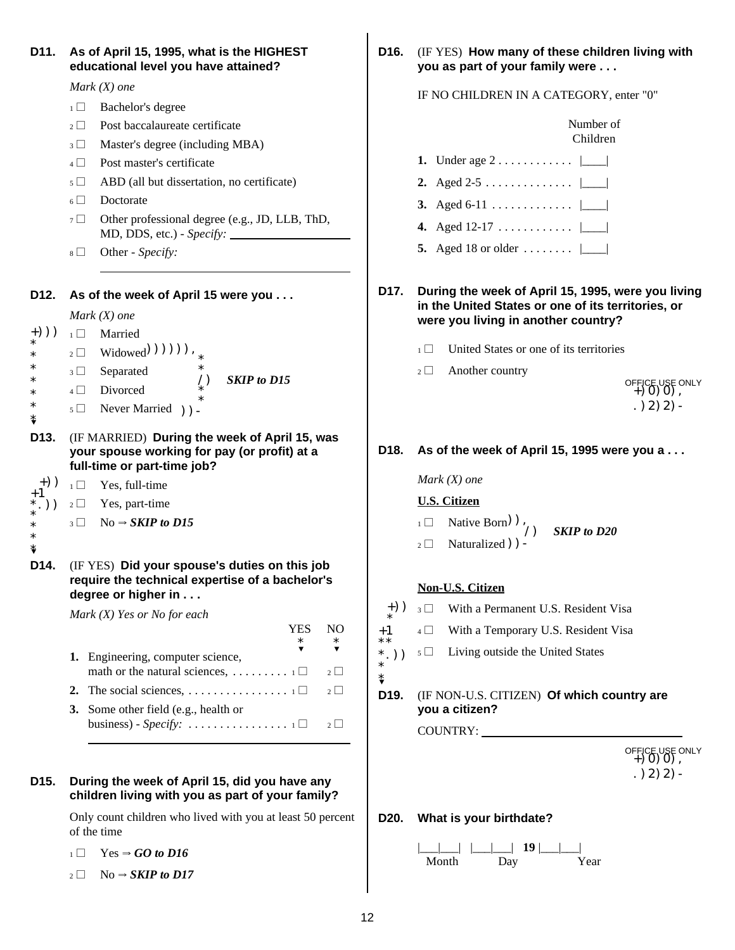| D11.                       | As of April 15, 1995, what is the HIGHEST<br>educational level you have attained?                                                               |
|----------------------------|-------------------------------------------------------------------------------------------------------------------------------------------------|
|                            | Mark $(X)$ one                                                                                                                                  |
|                            | Bachelor's degree<br>$1 \Box$                                                                                                                   |
|                            | Post baccalaureate certificate<br>$2^{\lceil}$<br>$\mathbf{I}$                                                                                  |
|                            | Master's degree (including MBA)<br>3 <sup>1</sup><br>J.                                                                                         |
|                            | Post master's certificate<br>$4 \mid \mid$                                                                                                      |
|                            | ABD (all but dissertation, no certificate)<br>$5 \Box$                                                                                          |
|                            | Doctorate<br>$\overline{\phantom{0}}$                                                                                                           |
|                            | $7\Box$<br>Other professional degree (e.g., JD, LLB, ThD,                                                                                       |
|                            | Other - Specify:<br>$8 \Box$                                                                                                                    |
| D12.                       | As of the week of April 15 were you                                                                                                             |
|                            | Mark $(X)$ one                                                                                                                                  |
| $+))$<br>*                 | Married<br>$1 \Box$                                                                                                                             |
| *                          | $_2 \Box$ Widowed (1) (1) (1),                                                                                                                  |
| *<br>*                     | $_3 \Box$ Separated<br>$\mathcal{L}_{\ast}$<br><b>SKIP</b> to D15                                                                               |
| $\ast$                     | 4 Divorced<br>$\ast$                                                                                                                            |
| ∗<br>⇟                     | $5 \Box$ Never Married ) ) -                                                                                                                    |
| D <sub>13</sub> .          | (IF MARRIED) During the week of April 15, was<br>your spouse working for pay (or profit) at a<br>full-time or part-time job?                    |
| $+)$ )                     | $_1 \Box$ Yes, full-time                                                                                                                        |
| $^{\mathrm{+1}}$<br>$*,))$ | $_2 \square$ Yes, part-time                                                                                                                     |
| $\ast$<br>$\ast$<br>\$     | $_3 \Box$ No $\Rightarrow$ SKIP to D15                                                                                                          |
| D14.                       | (IF YES) Did your spouse's duties on this job<br>require the technical expertise of a bachelor's<br>degree or higher in                         |
|                            | Mark $(X)$ Yes or No for each                                                                                                                   |
|                            | <b>YES</b><br>N <sub>O</sub><br>$\ast$<br>$\ast$                                                                                                |
|                            | Engineering, computer science,<br>1.                                                                                                            |
|                            | $2 \mid$                                                                                                                                        |
|                            | 2.<br>$2 \Box$                                                                                                                                  |
|                            | 3.<br>Some other field (e.g., health or<br>business) - Specify: $\dots \dots \dots \dots \dots \dots \dots \dots \dots \dots \dots$<br>$2 \Box$ |
|                            |                                                                                                                                                 |
| D15.                       | During the week of April 15, did you have any<br>children living with you as part of your family?                                               |

Only count children who lived with you at least 50 percent of the time

- $_1 \Box$  Yes  $\Rightarrow$  *GO to D16*
- $_2 \Box$  No  $\Rightarrow$  *SKIP to D17*

**D16. (IF YES) How many of these children living with** you as part of your family were . . .

#### IF NO CHILDREN IN A CATEGORY, enter "0"

|               | Number of<br>Children                                                                                                                           |
|---------------|-------------------------------------------------------------------------------------------------------------------------------------------------|
|               | Under age $2 \ldots \ldots \ldots \ldots$<br>1.                                                                                                 |
|               | 2. Aged 2-5 $ \_\_ $                                                                                                                            |
|               | 3. Aged 6-11 $ \_$                                                                                                                              |
|               | 4. Aged 12-17 $ \_\_ $                                                                                                                          |
|               | 5. Aged 18 or older $ \_$                                                                                                                       |
| D17.          | During the week of April 15, 1995, were you living<br>in the United States or one of its territories, or<br>were you living in another country? |
|               | United States or one of its territories<br>$\overline{1}$                                                                                       |
|               | Another country<br>$2 \Box$<br>OFFICE USE ONLY $+$ 0 0 0 0 0 $\,$<br>$. (2)$ 2) 2) -                                                            |
| D18.          | As of the week of April 15, 1995 were you a<br>$Mark(X)$ one                                                                                    |
|               | <b>U.S. Citizen</b>                                                                                                                             |
|               | $\Box$ Native Born) $\big)$ , SKIP to D20                                                                                                       |
|               | Naturalized () =<br>$2\Box$                                                                                                                     |
|               | <b>Non-U.S. Citizen</b>                                                                                                                         |
| $_{*}^{+})$ ) | 3 With a Permanent U.S. Resident Visa                                                                                                           |
| $***$         | $4 \Box$ With a Temporary U.S. Resident Visa                                                                                                    |
| $*,))$<br>\$  | $5 \Box$ Living outside the United States                                                                                                       |
| D19.          | (IF NON-U.S. CITIZEN) Of which country are<br>you a citizen?                                                                                    |
|               | COUNTRY:                                                                                                                                        |
|               | OFFICE USE ONLY $+$ 0 0 0 0 0<br>$. (2)$ 2) 2) -                                                                                                |
| D20.          | What is your birthdate?                                                                                                                         |

|\_\_\_|\_\_\_| |\_\_\_|\_\_\_| **19** |\_\_\_|\_\_\_| Month Day Year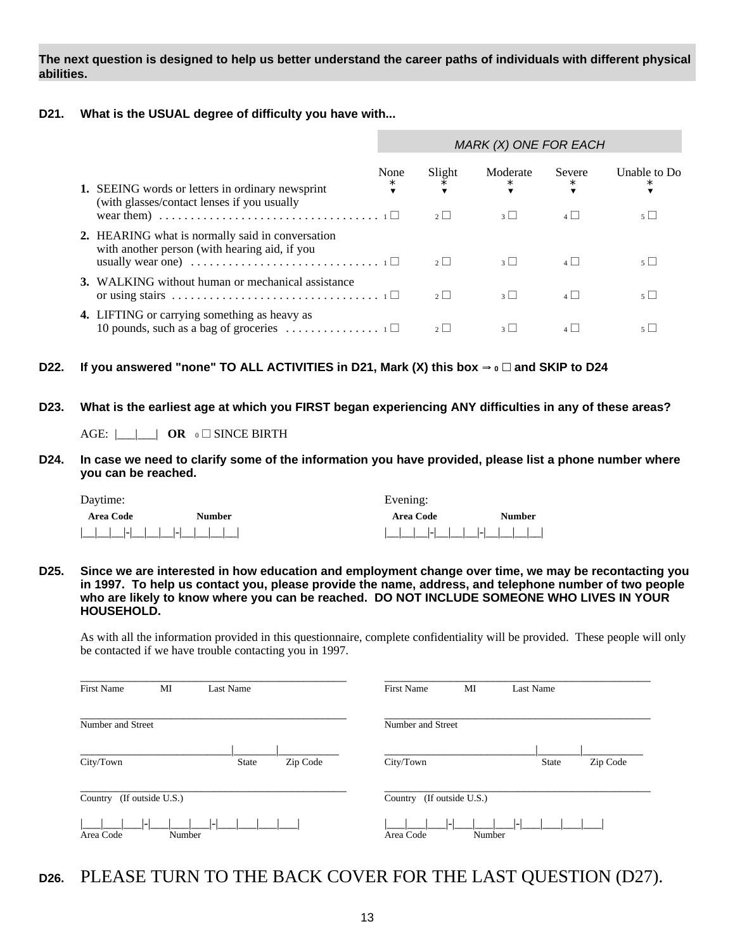**The next question is designed to help us better understand the career paths of individuals with different physical abilities.**

#### **D21. What is the USUAL degree of difficulty you have with...**

|                                                                                                                                                                                                                          |                | MARK (X) ONE FOR EACH   |                                |                              |                                |  |  |  |  |
|--------------------------------------------------------------------------------------------------------------------------------------------------------------------------------------------------------------------------|----------------|-------------------------|--------------------------------|------------------------------|--------------------------------|--|--|--|--|
| <b>1.</b> SEEING words or letters in ordinary newsprint<br>(with glasses/contact lenses if you usually<br>wear them) $\ldots \ldots \ldots \ldots \ldots \ldots \ldots \ldots \ldots \ldots \ldots \ldots \ldots$        | None<br>$\ast$ | Slight<br>∗<br>$2 \mid$ | Moderate<br>$\ast$<br>$3 \mid$ | Severe<br>$\ast$<br>$4 \mid$ | Unable to Do<br>5 <sup>1</sup> |  |  |  |  |
| 2. HEARING what is normally said in conversation<br>with another person (with hearing aid, if you<br>usually wear one) $\dots \dots \dots \dots \dots \dots \dots \dots \dots \dots \dots \dots \dots \dots \dots \dots$ |                | 2                       | $3 \mid$                       | $\overline{4}$               | 5 <sup>1</sup>                 |  |  |  |  |
| 3. WALKING without human or mechanical assistance                                                                                                                                                                        |                | 2                       | $3 \mid$                       | $\overline{A}$               | 5 <sup>1</sup>                 |  |  |  |  |
| 4. LIFTING or carrying something as heavy as<br>10 pounds, such as a bag of groceries $\ldots \ldots \ldots \ldots \ldots$                                                                                               |                |                         |                                |                              |                                |  |  |  |  |

#### D22. If you answered "none" TO ALL ACTIVITIES in D21, Mark (X) this box  $\rightarrow$   $\circ$   $\Box$  and SKIP to D24

**D23. What is the earliest age at which you FIRST began experiencing ANY difficulties in any of these areas?**

AGE:  $\Box$  **OR** 0 SINCE BIRTH

**D24. In case we need to clarify some of the information you have provided, please list a phone number where you can be reached.**

| Daytime:         |               | Evening:      |               |
|------------------|---------------|---------------|---------------|
| <b>Area Code</b> | <b>Number</b> | Area Code     | <b>Number</b> |
|                  |               | 1111111111111 |               |

**D25. Since we are interested in how education and employment change over time, we may be recontacting you in 1997. To help us contact you, please provide the name, address, and telephone number of two people who are likely to know where you can be reached. DO NOT INCLUDE SOMEONE WHO LIVES IN YOUR HOUSEHOLD.**

As with all the information provided in this questionnaire, complete confidentiality will be provided. These people will only be contacted if we have trouble contacting you in 1997.

| <b>First Name</b>            | MI     | Last Name    |          | <b>First Name</b> | MI                | Last Name    |          |  |  |  |
|------------------------------|--------|--------------|----------|-------------------|-------------------|--------------|----------|--|--|--|
| Number and Street            |        |              |          | Number and Street |                   |              |          |  |  |  |
| City/Town                    |        | <b>State</b> | Zip Code | City/Town         |                   | <b>State</b> | Zip Code |  |  |  |
| (If outside U.S.)<br>Country |        |              |          | Country           | (If outside U.S.) |              |          |  |  |  |
| Area Code                    | Number |              |          | Area Code         | ı —<br>Number     |              |          |  |  |  |

**D26.** PLEASE TURN TO THE BACK COVER FOR THE LAST QUESTION (D27).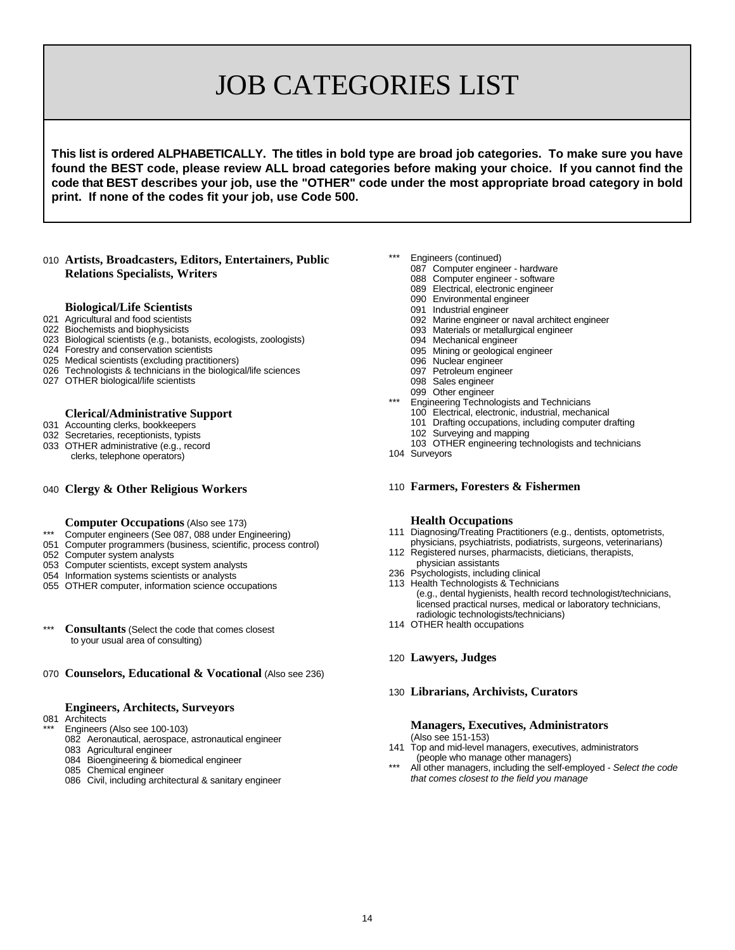# JOB CATEGORIES LIST

**This list is ordered ALPHABETICALLY. The titles in bold type are broad job categories. To make sure you have found the BEST code, please review ALL broad categories before making your choice. If you cannot find the code that BEST describes your job, use the "OTHER" code under the most appropriate broad category in bold print. If none of the codes fit your job, use Code 500.**

#### **Artists, Broadcasters, Editors, Entertainers, Public Relations Specialists, Writers**

#### **Biological/Life Scientists**

- Agricultural and food scientists
- Biochemists and biophysicists
- Biological scientists (e.g., botanists, ecologists, zoologists)
- Forestry and conservation scientists
- Medical scientists (excluding practitioners)
- Technologists & technicians in the biological/life sciences
- OTHER biological/life scientists

#### **Clerical/Administrative Support**

- Accounting clerks, bookkeepers
- Secretaries, receptionists, typists
- OTHER administrative (e.g., record clerks, telephone operators)

#### **Clergy & Other Religious Workers**

- **Computer Occupations** (Also see 173)
- \*\*\* Computer engineers (See 087, 088 under Engineering)
- Computer programmers (business, scientific, process control)
- Computer system analysts
- Computer scientists, except system analysts
- Information systems scientists or analysts
- OTHER computer, information science occupations
- \*\*\* **Consultants** (Select the code that comes closest to your usual area of consulting)

#### **Counselors, Educational & Vocational** (Also see 236)

#### **Engineers, Architects, Surveyors**

- Architects
	- Engineers (Also see 100-103)
	- Aeronautical, aerospace, astronautical engineer
	- Agricultural engineer
	- Bioengineering & biomedical engineer
	- Chemical engineer
	- Civil, including architectural & sanitary engineer
- Engineers (continued)
	- Computer engineer hardware
		- Computer engineer software
		- Electrical, electronic engineer
		- Environmental engineer
		- Industrial engineer
		- Marine engineer or naval architect engineer
		- Materials or metallurgical engineer
		- Mechanical engineer
		- Mining or geological engineer
		- Nuclear engineer
		- Petroleum engineer
		- Sales engineer
		- Other engineer
	- Engineering Technologists and Technicians
	- Electrical, electronic, industrial, mechanical
	- Drafting occupations, including computer drafting
	- Surveying and mapping
	- OTHER engineering technologists and technicians
- Surveyors
- **Farmers, Foresters & Fishermen**

#### **Health Occupations**

- Diagnosing/Treating Practitioners (e.g., dentists, optometrists, physicians, psychiatrists, podiatrists, surgeons, veterinarians)
- Registered nurses, pharmacists, dieticians, therapists, physician assistants
- 236 Psychologists, including clinical
- Health Technologists & Technicians (e.g., dental hygienists, health record technologist/technicians, licensed practical nurses, medical or laboratory technicians, radiologic technologists/technicians)
- OTHER health occupations

#### **Lawyers, Judges**

**Librarians, Archivists, Curators**

#### **Managers, Executives, Administrators** (Also see 151-153)

- Top and mid-level managers, executives, administrators (people who manage other managers)
- All other managers, including the self-employed Select the code *that comes closest to the field you manage*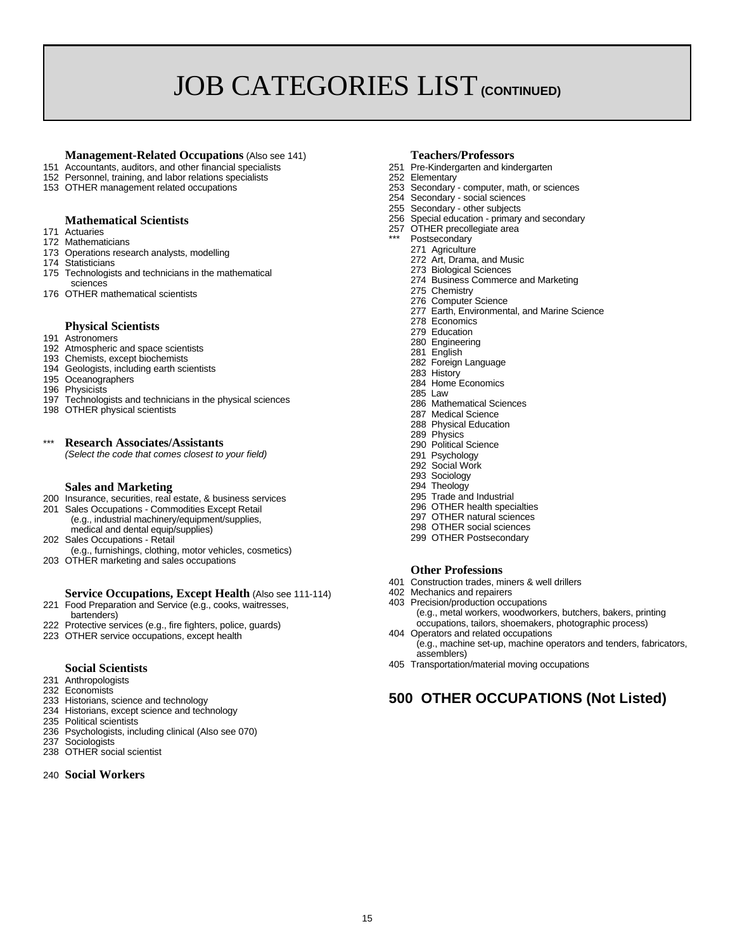# JOB CATEGORIES LIST **(CONTINUED)**

## **Management-Related Occupations** (Also see 141) **Teachers/Professors**<br>Accountants, auditors, and other financial specialists **251** Pre-Kindergarten and kindergarten

- 151 Accountants, auditors, and other financial specialists 251 Pre-Kindergarten and kindergarten and kindergarten and kindergarten and kindergarten and kindergarten and kindergarten and kindergarten and the 252 Elementary
- 152 Personnel, training, and labor relations specialists and the control of the computer of training, and labor related occupations and the computer of the computer, math, or sciences
- 153 OTHER management related occupations

#### **Mathematical Scientists**

- 171 Actuaries
- 172 Mathematicians
- 173 Operations research analysts, modelling
- 174 Statisticians
- 175 Technologists and technicians in the mathematical
- sciences 176 OTHER mathematical scientists

#### **Physical Scientists**

- 191 Astronomers
- 192 Atmospheric and space scientists
- 193 Chemists, except biochemists
- 194 Geologists, including earth scientists
- 195 Oceanographers
- 196 Physicists
- 197 Technologists and technicians in the physical sciences
- 198 OTHER physical scientists

### \*\*\* **Research Associates/Assistants**

*(Select the code that comes closest to your field)*

#### **Sales and Marketing**

- 200 Insurance, securities, real estate, & business services
- 201 Sales Occupations Commodities Except Retail (e.g., industrial machinery/equipment/supplies, medical and dental equip/supplies)
- 202 Sales Occupations Retail (e.g., furnishings, clothing, motor vehicles, cosmetics)
- 203 OTHER marketing and sales occupations

#### **Service Occupations, Except Health** (Also see 111-114)

- 221 Food Preparation and Service (e.g., cooks, waitresses,
- bartenders) 222 Protective services (e.g., fire fighters, police, guards)
- 223 OTHER service occupations, except health

#### **Social Scientists**

- 231 Anthropologists
- 232 Economists
- 233 Historians, science and technology
- 234 Historians, except science and technology
- 235 Political scientists
- 236 Psychologists, including clinical (Also see 070)
- 237 Sociologists
- 238 OTHER social scientist

#### 240 **Social Workers**

- 
- 
- 
- 254 Secondary social sciences
- 255 Secondary other subjects
- 256 Special education primary and secondary
- 257 OTHER precollegiate area
- Postsecondary
- 271 Agriculture
	- 272 Art, Drama, and Music
	- 273 Biological Sciences
	- 274 Business Commerce and Marketing
	- 275 Chemistry
	- 276 Computer Science
	- 277 Earth, Environmental, and Marine Science
	- 278 Economics
	- 279 Education
	- 280 Engineering
	- 281 English
	- 282 Foreign Language
	- 283 History
	- 284 Home Economics
	- 285 Law
	- 286 Mathematical Sciences
	- 287 Medical Science
	- 288 Physical Education 289 Physics
	- 290 Political Science
	-
	- 291 Psychology 292 Social Work
	- 293 Sociology
	- 294 Theology
	- 295 Trade and Industrial
	- 296 OTHER health specialties
	- 297 OTHER natural sciences
	- 298 OTHER social sciences
	- 299 OTHER Postsecondary

#### **Other Professions**

- 401 Construction trades, miners & well drillers
- 402 Mechanics and repairers
- 403 Precision/production occupations (e.g., metal workers, woodworkers, butchers, bakers, printing occupations, tailors, shoemakers, photographic process)
- 404 Operators and related occupations (e.g., machine set-up, machine operators and tenders, fabricators, assemblers)
- 405 Transportation/material moving occupations

### **500 OTHER OCCUPATIONS (Not Listed)**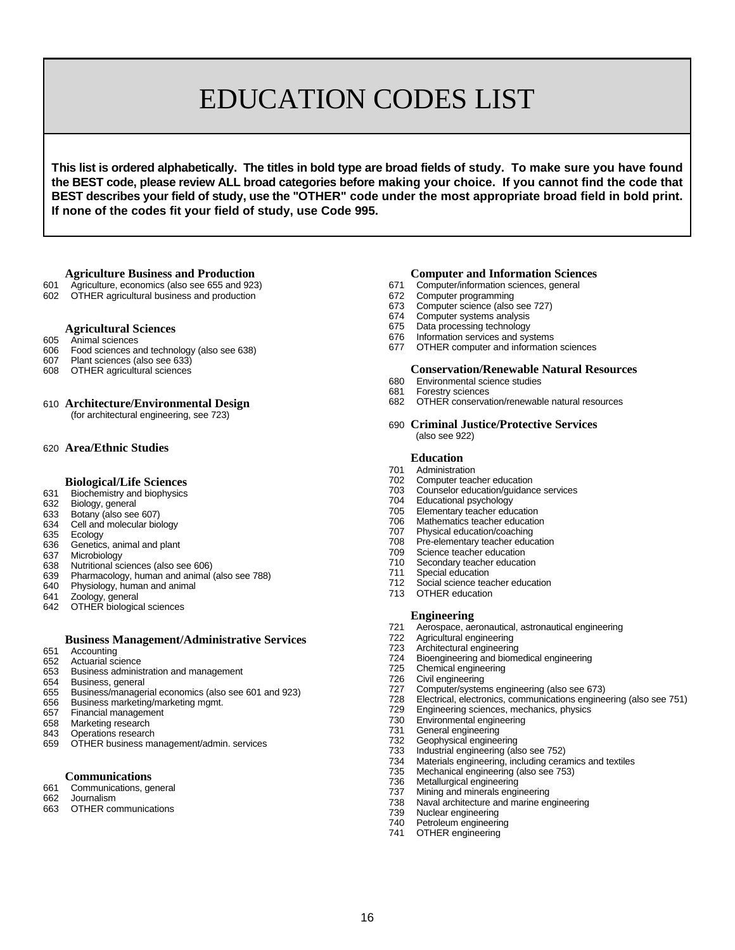# EDUCATION CODES LIST

**This list is ordered alphabetically. The titles in bold type are broad fields of study. To make sure you have found the BEST code, please review ALL broad categories before making your choice. If you cannot find the code that BEST describes your field of study, use the "OTHER" code under the most appropriate broad field in bold print. If none of the codes fit your field of study, use Code 995.**

- 601 Agriculture, economics (also see 655 and 923) 671 Computer/information sciences, 672 Computer/information sciences, 672 Computer programming
- 602 OTHER agricultural business and production

#### **Agricultural Sciences**

- 605 Animal sciences
- 606 Food sciences and technology (also see 638)
- 607 Plant sciences (also see 633)
- OTHER agricultural sciences

#### 610 **Architecture/Environmental Design**

(for architectural engineering, see 723)

#### 620 **Area/Ethnic Studies**

#### **Biological/Life Sciences**

- 631 Biochemistry and biophysics
- 632 Biology, general
- 633 Botany (also see 607)
- 634 Cell and molecular biology
- 635 Ecology<br>636 Genetics
- Genetics, animal and plant
- 637 Microbiology
- 638 Nutritional sciences (also see 606)
- 639 Pharmacology, human and animal (also see 788)
- Physiology, human and animal
- 641 Zoology, general
- 642 OTHER biological sciences

#### **Business Management/Administrative Services**

- 651 Accounting
- 652 Actuarial science Business administration and management
- 
- 654 Business, general
- 655 Business/managerial economics (also see 601 and 923)
- 656 Business marketing/marketing mgmt.<br>657 Financial management
- 657 Financial management<br>658 Marketing research Marketing research
- 
- 843 Operations research<br>659 OTHER business ma OTHER business management/admin. services

#### **Communications**

- 661 Communications, general
- 662 Journalism
- 663 OTHER communications

## **Agriculture Business and Production**<br>
Agriculture, economics (also see 655 and 923)<br> **Computer/information sciences**, general<br> **Computer/information sciences**, general

- 
- 
- 673 Computer science (also see 727)<br>674 Computer systems analysis
- Computer systems analysis
- 675 Data processing technology
- 676 Information services and systems<br>677 OTHER computer and information
- OTHER computer and information sciences

#### **Conservation/Renewable Natural Resources**

- 680 Environmental science studies
- 681 Forestry sciences<br>682 OTHER conservat
- OTHER conservation/renewable natural resources

#### 690 **Criminal Justice/Protective Services** (also see 922)

#### **Education**

- 701 Administration<br>702 Computer tead
- Computer teacher education
- 703 Counselor education/guidance services
- 704 Educational psychology<br>705 Elementary teacher edu
- Elementary teacher education
- 706 Mathematics teacher education<br>707 Physical education/coaching
- 707 Physical education/coaching<br>708 Pre-elementary teacher educ
- 708 Pre-elementary teacher education<br>709 Science teacher education
- Science teacher education
- 710 Secondary teacher education<br>711 Special education
- 711 Special education<br>712 Social science tea
- 712 Social science teacher education<br>713 OTHER education
- OTHER education

#### **Engineering**

- 721 Aerospace, aeronautical, astronautical engineering
- Agricultural engineering
- 
- 723 Architectural engineering<br>724 Bioengineering and biome 724 Bioengineering and biomedical engineering
- 725 Chemical engineering<br>726 Civil engineering
- Civil engineering
- 
- 727 Computer/systems engineering (also see 673) 728 Electrical, electronics, communications engineering (also see 751)
- Engineering sciences, mechanics, physics
- 730 Environmental engineering<br>731 General engineering
- 731 General engineering<br>732 Geophysical enginee
- 732 Geophysical engineering<br>733 Industrial engineering (als
- 733 Industrial engineering (also see 752)
- Materials engineering, including ceramics and textiles
- 735 Mechanical engineering (also see 753)
- 736 Metallurgical engineering<br>737 Mining and minerals engi
- 737 Mining and minerals engineering<br>738 Naval architecture and marine er
- Naval architecture and marine engineering
- 739 Nuclear engineering<br>740 Petroleum engineerir
- 740 Petroleum engineering<br>741 OTHER engineering OTHER engineering
-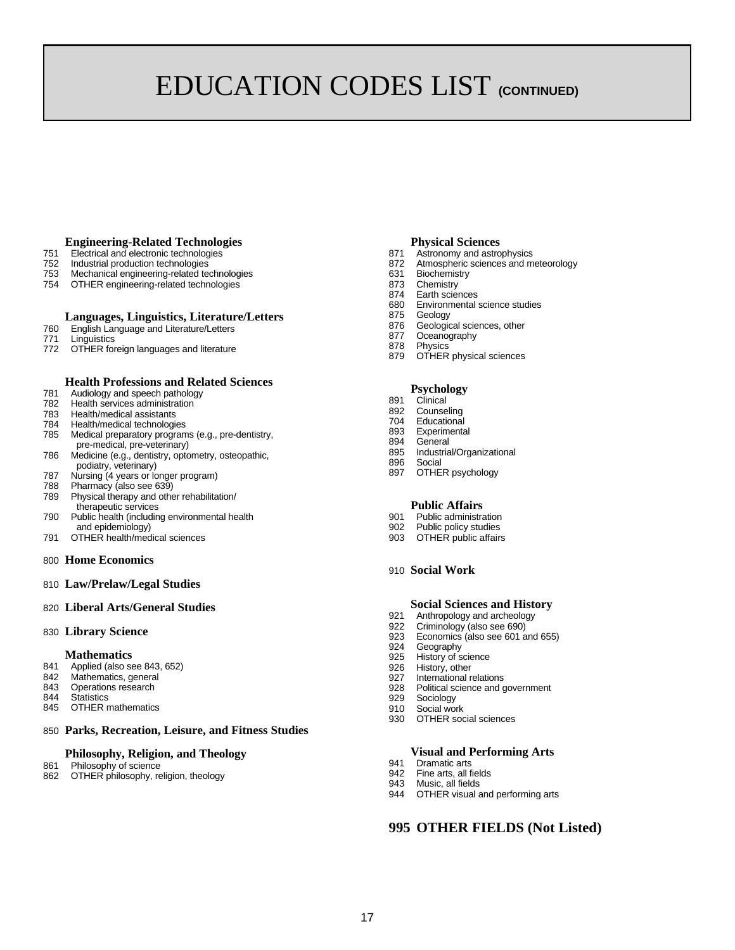# EDUCATION CODES LIST **(CONTINUED)**

#### **Engineering-Related Technologies**

- 
- 751 Electrical and electronic technologies 871 Astronomy and astrophysics
- 753 Mechanical engineering-related technologies<br>754 OTHER engineering-related technologies 631 Biochemistry 631 Chemistry
- 754 OTHER engineering-related technologies<br>874 Chemistry Barte

#### **Languages, Linguistics, Literature/Letters**

- 760 English Language and Literature/Letters
- 771 Linguistics
- 772 OTHER foreign languages and literature

#### **Health Professions and Related Sciences**

- 781 Audiology and speech pathology<br>782 Health services administration
- 782 Health services administration<br>783 Health/medical assistants
- 783 Health/medical assistants<br>784 Health/medical technologi
- Health/medical technologies
- 785 Medical preparatory programs (e.g., pre-dentistry, pre-medical, pre-veterinary)
- 786 Medicine (e.g., dentistry, optometry, osteopathic, podiatry, veterinary)
- 787 Nursing (4 years or longer program)
- 788 Pharmacy (also see 639)
- 789 Physical therapy and other rehabilitation/ therapeutic services
- 790 Public health (including environmental health 901 Public administration and epidemiology) and epidemiology and epidemiology by the studies of  $\overline{902}$  Public policy studies
- 791 OTHER health/medical sciences 903 OTHER public affairs

#### 800 **Home Economics**

810 **Law/Prelaw/Legal Studies**

#### 820 **Liberal Arts/General Studies**

830 **Library Science**

#### **Mathematics**

- 841 Applied (also see 843, 652)
- 
- 842 Mathematics, general<br>843 Operations research Operations research
- 844 Statistics<br>845 OTHER
- **OTHER mathematics**

#### 850 **Parks, Recreation, Leisure, and Fitness Studies**

#### **Philosophy, Religion, and Theology**

- 861 Philosophy of science 862 OTHER philosophy, religion, theology
	-

#### **Physical Sciences**

- 
- Atmospheric sciences and meteorology
- 
- 
- 874 Earth sciences<br>680 Environmental
- Environmental science studies
- 875 Geology
- 876 Geological sciences, other<br>877 Oceanography
- 877 Oceanography<br>878 Physics
- Physics<sup>®</sup>
- 879 OTHER physical sciences

#### **Psychology**

- 891 Clinical
- 892 Counseling<br>704 Educationa
- 704 Educational
- Experimental
- 894 General
- 895 Industrial/Organizational<br>896 Social
- 896 Social<br>897 OTHEL OTHER psychology

#### **Public Affairs**

- 
- 
- 
- 910 **Social Work**

#### **Social Sciences and History**

- 921 Anthropology and archeology<br>922 Criminology (also see 690)
- Criminology (also see 690)
- 923 Economics (also see 601 and 655)<br>924 Geography
- Geography
- 925 History of science<br>926 History, other
- 926 History, other<br>927 International r
- International relations 928 Political science and government
- 929 Sociology
- 
- 910 Social work<br>930 OTHER soc OTHER social sciences

#### **Visual and Performing Arts**

- 941 Dramatic arts<br>942 Fine arts, all f
- Fine arts, all fields
- 943 Music, all fields
- 944 OTHER visual and performing arts

#### **995 OTHER FIELDS (Not Listed)**